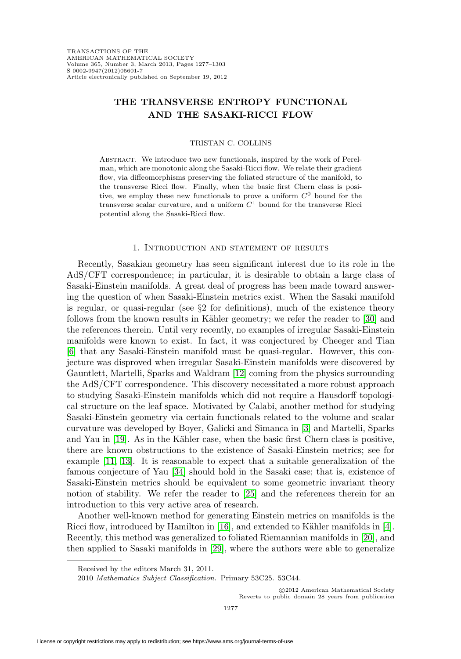# **THE TRANSVERSE ENTROPY FUNCTIONAL AND THE SASAKI-RICCI FLOW**

#### TRISTAN C. COLLINS

Abstract. We introduce two new functionals, inspired by the work of Perelman, which are monotonic along the Sasaki-Ricci flow. We relate their gradient flow, via diffeomorphisms preserving the foliated structure of the manifold, to the transverse Ricci flow. Finally, when the basic first Chern class is positive, we employ these new functionals to prove a uniform  $C^0$  bound for the transverse scalar curvature, and a uniform  $C<sup>1</sup>$  bound for the transverse Ricci potential along the Sasaki-Ricci flow.

#### 1. Introduction and statement of results

Recently, Sasakian geometry has seen significant interest due to its role in the AdS/CFT correspondence; in particular, it is desirable to obtain a large class of Sasaki-Einstein manifolds. A great deal of progress has been made toward answering the question of when Sasaki-Einstein metrics exist. When the Sasaki manifold is regular, or quasi-regular (see §2 for definitions), much of the existence theory follows from the known results in Kähler geometry; we refer the reader to [\[30\]](#page-26-0) and the references therein. Until very recently, no examples of irregular Sasaki-Einstein manifolds were known to exist. In fact, it was conjectured by Cheeger and Tian [\[6\]](#page-25-0) that any Sasaki-Einstein manifold must be quasi-regular. However, this conjecture was disproved when irregular Sasaki-Einstein manifolds were discovered by Gauntlett, Martelli, Sparks and Waldram [\[12\]](#page-25-1) coming from the physics surrounding the AdS/CFT correspondence. This discovery necessitated a more robust approach to studying Sasaki-Einstein manifolds which did not require a Hausdorff topological structure on the leaf space. Motivated by Calabi, another method for studying Sasaki-Einstein geometry via certain functionals related to the volume and scalar curvature was developed by Boyer, Galicki and Simanca in [\[3\]](#page-25-2) and Martelli, Sparks and Yau in  $[19]$ . As in the Kähler case, when the basic first Chern class is positive, there are known obstructions to the existence of Sasaki-Einstein metrics; see for example [\[11,](#page-25-3) [13\]](#page-25-4). It is reasonable to expect that a suitable generalization of the famous conjecture of Yau [\[34\]](#page-26-2) should hold in the Sasaki case; that is, existence of Sasaki-Einstein metrics should be equivalent to some geometric invariant theory notion of stability. We refer the reader to [\[25\]](#page-26-3) and the references therein for an introduction to this very active area of research.

Another well-known method for generating Einstein metrics on manifolds is the Ricci flow, introduced by Hamilton in  $[16]$ , and extended to Kähler manifolds in  $[4]$ . Recently, this method was generalized to foliated Riemannian manifolds in [\[20\]](#page-26-5), and then applied to Sasaki manifolds in [\[29\]](#page-26-6), where the authors were able to generalize

-c 2012 American Mathematical Society Reverts to public domain 28 years from publication

Received by the editors March 31, 2011.

<sup>2010</sup> Mathematics Subject Classification. Primary 53C25. 53C44.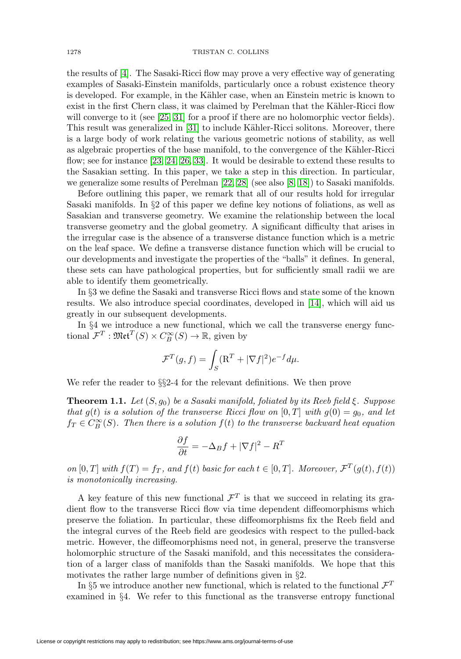the results of [\[4\]](#page-25-5). The Sasaki-Ricci flow may prove a very effective way of generating examples of Sasaki-Einstein manifolds, particularly once a robust existence theory is developed. For example, in the Kähler case, when an Einstein metric is known to exist in the first Chern class, it was claimed by Perelman that the Kähler-Ricci flow will converge to it (see [\[25,](#page-26-3) [31\]](#page-26-7) for a proof if there are no holomorphic vector fields). This result was generalized in [\[31\]](#page-26-7) to include Kähler-Ricci solitons. Moreover, there is a large body of work relating the various geometric notions of stability, as well as algebraic properties of the base manifold, to the convergence of the Kähler-Ricci flow; see for instance [\[23,](#page-26-8) [24,](#page-26-9) [26,](#page-26-10) [33\]](#page-26-11). It would be desirable to extend these results to the Sasakian setting. In this paper, we take a step in this direction. In particular, we generalize some results of Perelman [\[22,](#page-26-12) [28\]](#page-26-13) (see also [\[8,](#page-25-6) [18\]](#page-26-14)) to Sasaki manifolds.

Before outlining this paper, we remark that all of our results hold for irregular Sasaki manifolds. In §2 of this paper we define key notions of foliations, as well as Sasakian and transverse geometry. We examine the relationship between the local transverse geometry and the global geometry. A significant difficulty that arises in the irregular case is the absence of a transverse distance function which is a metric on the leaf space. We define a transverse distance function which will be crucial to our developments and investigate the properties of the "balls" it defines. In general, these sets can have pathological properties, but for sufficiently small radii we are able to identify them geometrically.

In §3 we define the Sasaki and transverse Ricci flows and state some of the known results. We also introduce special coordinates, developed in [\[14\]](#page-25-7), which will aid us greatly in our subsequent developments.

In §4 we introduce a new functional, which we call the transverse energy functional  $\mathcal{F}^T : \mathfrak{Met}^T(S) \times C^{\infty}_B(S) \to \mathbb{R}$ , given by

$$
\mathcal{F}^T(g,f) = \int_S (\mathbf{R}^T + |\nabla f|^2) e^{-f} d\mu.
$$

We refer the reader to  $\S$ 2-4 for the relevant definitions. We then prove

<span id="page-1-0"></span>**Theorem 1.1.** Let  $(S, q_0)$  be a Sasaki manifold, foliated by its Reeb field  $\xi$ . Suppose that  $g(t)$  is a solution of the transverse Ricci flow on  $[0, T]$  with  $g(0) = g_0$ , and let  $f_T \in C_B^{\infty}(S)$ . Then there is a solution  $f(t)$  to the transverse backward heat equation

$$
\frac{\partial f}{\partial t} = -\Delta_B f + |\nabla f|^2 - R^T
$$

on  $[0, T]$  with  $f(T) = f_T$ , and  $f(t)$  basic for each  $t \in [0, T]$ . Moreover,  $\mathcal{F}^{T}(g(t), f(t))$ is monotonically increasing.

A key feature of this new functional  $\mathcal{F}^T$  is that we succeed in relating its gradient flow to the transverse Ricci flow via time dependent diffeomorphisms which preserve the foliation. In particular, these diffeomorphisms fix the Reeb field and the integral curves of the Reeb field are geodesics with respect to the pulled-back metric. However, the diffeomorphisms need not, in general, preserve the transverse holomorphic structure of the Sasaki manifold, and this necessitates the consideration of a larger class of manifolds than the Sasaki manifolds. We hope that this motivates the rather large number of definitions given in §2.

In §5 we introduce another new functional, which is related to the functional  $\mathcal{F}^T$ examined in §4. We refer to this functional as the transverse entropy functional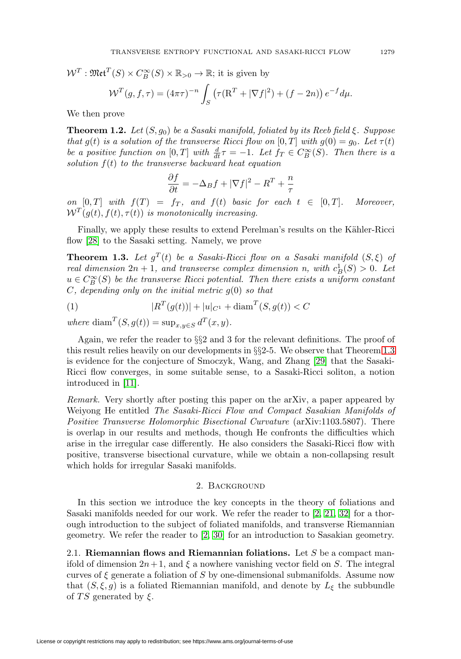$W^T: \mathfrak{Met}^T(S) \times C_B^{\infty}(S) \times \mathbb{R}_{>0} \to \mathbb{R}$ ; it is given by

$$
\mathcal{W}^T(g,f,\tau) = (4\pi\tau)^{-n} \int_S \left( \tau (\mathbf{R}^T + |\nabla f|^2) + (f - 2n) \right) e^{-f} d\mu.
$$

We then prove

<span id="page-2-1"></span>**Theorem 1.2.** Let  $(S, g_0)$  be a Sasaki manifold, foliated by its Reeb field  $\xi$ . Suppose that g(t) is a solution of the transverse Ricci flow on [0, T] with  $g(0) = g_0$ . Let  $\tau(t)$ be a positive function on  $[0,T]$  with  $\frac{d}{dt}\tau = -1$ . Let  $f_T \in C_B^{\infty}(S)$ . Then there is a solution  $f(t)$  to the transverse backward heat equation

$$
\frac{\partial f}{\partial t} = -\Delta_B f + |\nabla f|^2 - R^T + \frac{n}{\tau}
$$

on  $[0, T]$  with  $f(T) = f_T$ , and  $f(t)$  basic for each  $t \in [0, T]$ . Moreover,  $W^T(g(t), f(t), \tau(t))$  is monotonically increasing.

Finally, we apply these results to extend Perelman's results on the Kähler-Ricci flow [\[28\]](#page-26-13) to the Sasaki setting. Namely, we prove

<span id="page-2-0"></span>**Theorem 1.3.** Let  $g^T(t)$  be a Sasaki-Ricci flow on a Sasaki manifold  $(S, \xi)$  of real dimension  $2n + 1$ , and transverse complex dimension n, with  $c_B^1(S) > 0$ . Let  $u \in C^{\infty}_B(S)$  be the transverse Ricci potential. Then there exists a uniform constant  $C$ , depending only on the initial metric  $g(0)$  so that

(1) 
$$
|R^T(g(t))| + |u|_{C^1} + \text{diam}^T(S, g(t)) < C
$$

where diam<sup>T</sup> $(S, g(t)) = \sup_{x,y \in S} d^{T}(x, y)$ .

Again, we refer the reader to §§2 and 3 for the relevant definitions. The proof of this result relies heavily on our developments in §§2-5. We observe that Theorem [1.3](#page-2-0) is evidence for the conjecture of Smoczyk, Wang, and Zhang [\[29\]](#page-26-6) that the Sasaki-Ricci flow converges, in some suitable sense, to a Sasaki-Ricci soliton, a notion introduced in [\[11\]](#page-25-3).

Remark. Very shortly after posting this paper on the arXiv, a paper appeared by Weiyong He entitled The Sasaki-Ricci Flow and Compact Sasakian Manifolds of Positive Transverse Holomorphic Bisectional Curvature (arXiv:1103.5807). There is overlap in our results and methods, though He confronts the difficulties which arise in the irregular case differently. He also considers the Sasaki-Ricci flow with positive, transverse bisectional curvature, while we obtain a non-collapsing result which holds for irregular Sasaki manifolds.

#### 2. Background

In this section we introduce the key concepts in the theory of foliations and Sasaki manifolds needed for our work. We refer the reader to [\[2,](#page-25-8) [21,](#page-26-15) [32\]](#page-26-16) for a thorough introduction to the subject of foliated manifolds, and transverse Riemannian geometry. We refer the reader to [\[2,](#page-25-8) [30\]](#page-26-0) for an introduction to Sasakian geometry.

2.1. **Riemannian flows and Riemannian foliations.** Let S be a compact manifold of dimension  $2n+1$ , and  $\xi$  a nowhere vanishing vector field on S. The integral curves of  $\xi$  generate a foliation of S by one-dimensional submanifolds. Assume now that  $(S, \xi, g)$  is a foliated Riemannian manifold, and denote by  $L_{\xi}$  the subbundle of TS generated by  $\xi$ .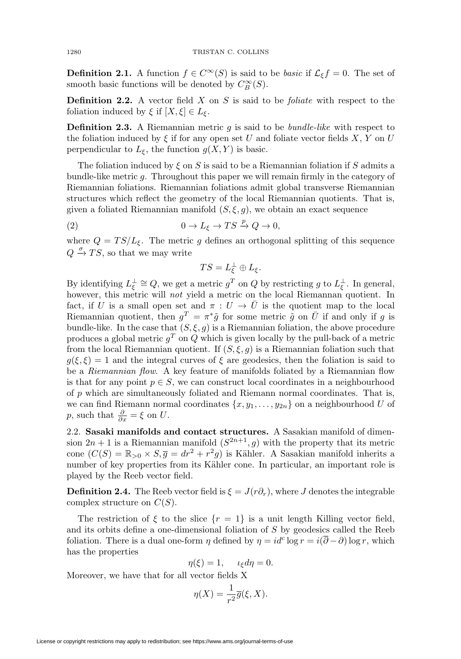**Definition 2.1.** A function  $f \in C^{\infty}(S)$  is said to be *basic* if  $\mathcal{L}_{\xi} f = 0$ . The set of smooth basic functions will be denoted by  $C^{\infty}_B(S)$ .

**Definition 2.2.** A vector field  $X$  on  $S$  is said to be *foliate* with respect to the foliation induced by  $\xi$  if  $[X, \xi] \in L_{\xi}$ .

<span id="page-3-1"></span>**Definition 2.3.** A Riemannian metric  $g$  is said to be *bundle-like* with respect to the foliation induced by  $\xi$  if for any open set U and foliate vector fields X, Y on U perpendicular to  $L_{\xi}$ , the function  $g(X, Y)$  is basic.

The foliation induced by  $\xi$  on S is said to be a Riemannian foliation if S admits a bundle-like metric g. Throughout this paper we will remain firmly in the category of Riemannian foliations. Riemannian foliations admit global transverse Riemannian structures which reflect the geometry of the local Riemannian quotients. That is, given a foliated Riemannian manifold  $(S, \xi, g)$ , we obtain an exact sequence

<span id="page-3-0"></span>(2) 
$$
0 \to L_{\xi} \to TS \xrightarrow{p} Q \to 0,
$$

where  $Q = TS/L_{\xi}$ . The metric g defines an orthogonal splitting of this sequence  $Q \stackrel{\sigma}{\rightarrow} TS$ , so that we may write

$$
TS=L^\perp_\xi\oplus L_\xi.
$$

By identifying  $L_{\xi}^{\perp} \cong Q$ , we get a metric  $g^T$  on  $Q$  by restricting  $g$  to  $L_{\xi}^{\perp}$ . In general, however, this metric will *not* yield a metric on the local Riemannan quotient. In fact, if U is a small open set and  $\pi: U \to \overline{U}$  is the quotient map to the local Riemannian quotient, then  $g^T = \pi^* \tilde{g}$  for some metric  $\tilde{g}$  on  $\overline{U}$  if and only if g is bundle-like. In the case that  $(S, \xi, g)$  is a Riemannian foliation, the above procedure produces a global metric  $g^T$  on Q which is given locally by the pull-back of a metric from the local Riemannian quotient. If  $(S, \xi, g)$  is a Riemannian foliation such that  $g(\xi, \xi) = 1$  and the integral curves of  $\xi$  are geodesics, then the foliation is said to be a Riemannian flow. A key feature of manifolds foliated by a Riemannian flow is that for any point  $p \in S$ , we can construct local coordinates in a neighbourhood of p which are simultaneously foliated and Riemann normal coordinates. That is, we can find Riemann normal coordinates  $\{x, y_1, \ldots, y_{2n}\}$  on a neighbourhood U of p, such that  $\frac{\partial}{\partial x} = \xi$  on U.

2.2. **Sasaki manifolds and contact structures.** A Sasakian manifold of dimension  $2n + 1$  is a Riemannian manifold  $(S^{2n+1}, g)$  with the property that its metric cone  $(C(S) = \mathbb{R}_{>0} \times S, \overline{g} = dr^2 + r^2 g)$  is Kähler. A Sasakian manifold inherits a number of key properties from its Kähler cone. In particular, an important role is played by the Reeb vector field.

**Definition 2.4.** The Reeb vector field is  $\xi = J(r\partial_r)$ , where J denotes the integrable complex structure on  $C(S)$ .

The restriction of  $\xi$  to the slice  $\{r = 1\}$  is a unit length Killing vector field, and its orbits define a one-dimensional foliation of S by geodesics called the Reeb foliation. There is a dual one-form  $\eta$  defined by  $\eta = id^c \log r = i(\overline{\partial} - \partial) \log r$ , which has the properties

$$
\eta(\xi) = 1, \quad \iota_{\xi} d\eta = 0.
$$

Moreover, we have that for all vector fields X

$$
\eta(X) = \frac{1}{r^2}\overline{g}(\xi, X).
$$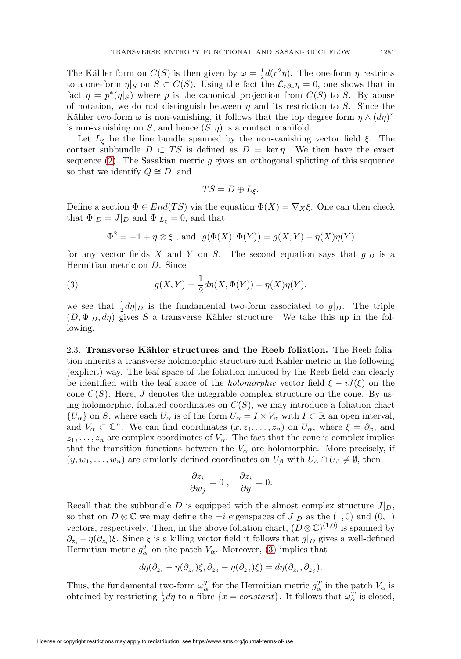The Kähler form on  $C(S)$  is then given by  $\omega = \frac{1}{2}d(r^2\eta)$ . The one-form  $\eta$  restricts to a one-form  $\eta|_S$  on  $S \subset C(S)$ . Using the fact the  $\mathcal{L}_{r\partial_r} \eta = 0$ , one shows that in fact  $\eta = p^*(\eta|_S)$  where p is the canonical projection from  $C(S)$  to S. By abuse of notation, we do not distinguish between  $\eta$  and its restriction to S. Since the Kähler two-form  $\omega$  is non-vanishing, it follows that the top degree form  $\eta \wedge (d\eta)^n$ is non-vanishing on  $S$ , and hence  $(S, \eta)$  is a contact manifold.

Let  $L_{\xi}$  be the line bundle spanned by the non-vanishing vector field  $\xi$ . The contact subbundle  $D \subset TS$  is defined as  $D = \text{ker } \eta$ . We then have the exact sequence  $(2)$ . The Sasakian metric g gives an orthogonal splitting of this sequence so that we identify  $Q \cong D$ , and

$$
TS=D\oplus L_{\xi}.
$$

Define a section  $\Phi \in End(TS)$  via the equation  $\Phi(X) = \nabla_X \xi$ . One can then check that  $\Phi|_D = J|_D$  and  $\Phi|_{L_{\mathcal{E}}} = 0$ , and that

$$
\Phi^2=-1+\eta\otimes\xi
$$
 , and  $\;g(\Phi(X),\Phi(Y))=g(X,Y)-\eta(X)\eta(Y)$ 

for any vector fields X and Y on S. The second equation says that  $g|_D$  is a Hermitian metric on D. Since

<span id="page-4-0"></span>(3) 
$$
g(X,Y) = \frac{1}{2}d\eta(X,\Phi(Y)) + \eta(X)\eta(Y),
$$

we see that  $\frac{1}{2}d\eta|_{D}$  is the fundamental two-form associated to  $g|_{D}$ . The triple  $(D, \Phi|_D, d\eta)$  gives S a transverse Kähler structure. We take this up in the following.

2.3. **Transverse Kähler structures and the Reeb foliation.** The Reeb foliation inherits a transverse holomorphic structure and Kähler metric in the following (explicit) way. The leaf space of the foliation induced by the Reeb field can clearly be identified with the leaf space of the *holomorphic* vector field  $\xi - iJ(\xi)$  on the cone  $C(S)$ . Here, J denotes the integrable complex structure on the cone. By using holomorphic, foliated coordinates on  $C(S)$ , we may introduce a foliation chart  $\{U_{\alpha}\}\$  on S, where each  $U_{\alpha}$  is of the form  $U_{\alpha} = I \times V_{\alpha}$  with  $I \subset \mathbb{R}$  an open interval, and  $V_{\alpha} \subset \mathbb{C}^n$ . We can find coordinates  $(x, z_1, \ldots, z_n)$  on  $U_{\alpha}$ , where  $\xi = \partial_x$ , and  $z_1, \ldots, z_n$  are complex coordinates of  $V_\alpha$ . The fact that the cone is complex implies that the transition functions between the  $V_{\alpha}$  are holomorphic. More precisely, if  $(y, w_1, \ldots, w_n)$  are similarly defined coordinates on  $U_\beta$  with  $U_\alpha \cap U_\beta \neq \emptyset$ , then

$$
\frac{\partial z_i}{\partial \overline{w}_j} = 0 \;, \quad \frac{\partial z_i}{\partial y} = 0.
$$

Recall that the subbundle D is equipped with the almost complex structure  $J|_D$ , so that on  $D \otimes \mathbb{C}$  we may define the  $\pm i$  eigenspaces of  $J|_D$  as the  $(1,0)$  and  $(0,1)$ vectors, respectively. Then, in the above foliation chart,  $(D \otimes \mathbb{C})^{(1,0)}$  is spanned by  $\partial_{z_i} - \eta(\partial_{z_i})\xi$ . Since  $\xi$  is a killing vector field it follows that  $g|_D$  gives a well-defined Hermitian metric  $g_{\alpha}^T$  on the patch  $V_{\alpha}$ . Moreover, [\(3\)](#page-4-0) implies that

$$
d\eta(\partial_{z_i} - \eta(\partial_{z_i})\xi, \partial_{\overline{z}_j} - \eta(\partial_{\overline{z}_j})\xi) = d\eta(\partial_{z_i}, \partial_{\overline{z}_j}).
$$

Thus, the fundamental two-form  $\omega_{\alpha}^T$  for the Hermitian metric  $g_{\alpha}^T$  in the patch  $V_{\alpha}$  is obtained by restricting  $\frac{1}{2}d\eta$  to a fibre  $\{x = constant\}$ . It follows that  $\omega_{\alpha}^{T}$  is closed,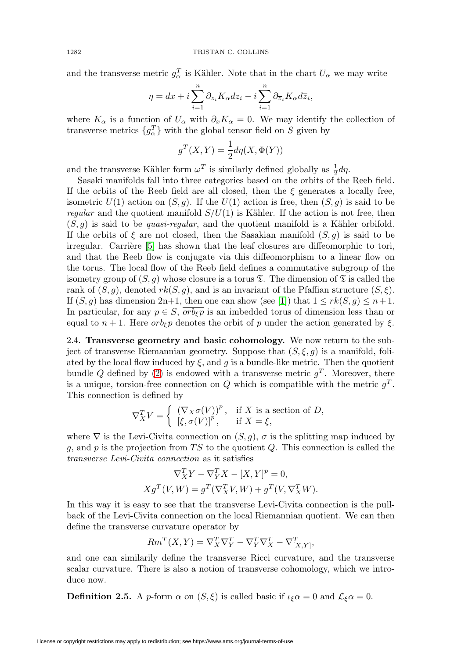and the transverse metric  $g_{\alpha}^{T}$  is Kähler. Note that in the chart  $U_{\alpha}$  we may write

$$
\eta = dx + i \sum_{i=1}^{n} \partial_{z_i} K_{\alpha} dz_i - i \sum_{i=1}^{n} \partial_{\overline{z}_i} K_{\alpha} d\overline{z}_i,
$$

where  $K_{\alpha}$  is a function of  $U_{\alpha}$  with  $\partial_x K_{\alpha} = 0$ . We may identify the collection of transverse metrics  $\{g_{\alpha}^T\}$  with the global tensor field on S given by

$$
g^T(X,Y) = \frac{1}{2} d\eta(X,\Phi(Y))
$$

and the transverse Kähler form  $\omega^T$  is similarly defined globally as  $\frac{1}{2}$ d $\eta$ .

Sasaki manifolds fall into three categories based on the orbits of the Reeb field. If the orbits of the Reeb field are all closed, then the  $\xi$  generates a locally free, isometric  $U(1)$  action on  $(S, g)$ . If the  $U(1)$  action is free, then  $(S, g)$  is said to be regular and the quotient manifold  $S/U(1)$  is Kähler. If the action is not free, then  $(S, q)$  is said to be *quasi-regular*, and the quotient manifold is a Kähler orbifold. If the orbits of  $\xi$  are not closed, then the Sasakian manifold  $(S, g)$  is said to be irregular. Carrière  $[5]$  has shown that the leaf closures are diffeomorphic to tori, and that the Reeb flow is conjugate via this diffeomorphism to a linear flow on the torus. The local flow of the Reeb field defines a commutative subgroup of the isometry group of  $(S, g)$  whose closure is a torus  $\mathfrak T$ . The dimension of  $\mathfrak T$  is called the rank of  $(S, q)$ , denoted  $rk(S, q)$ , and is an invariant of the Pfaffian structure  $(S, \xi)$ . If  $(S, g)$  has dimension 2n+1, then one can show (see [\[1\]](#page-25-10)) that  $1 \leq rk(S, g) \leq n+1$ . In particular, for any  $p \in S$ ,  $orb_{\varepsilon} p$  is an imbedded torus of dimension less than or equal to  $n + 1$ . Here  $orb_{\xi}p$  denotes the orbit of p under the action generated by  $\xi$ .

2.4. **Transverse geometry and basic cohomology.** We now return to the subject of transverse Riemannian geometry. Suppose that  $(S, \xi, g)$  is a manifold, foliated by the local flow induced by  $\xi$ , and g is a bundle-like metric. Then the quotient bundle Q defined by [\(2\)](#page-3-0) is endowed with a transverse metric  $q<sup>T</sup>$ . Moreover, there is a unique, torsion-free connection on  $Q$  which is compatible with the metric  $g<sup>T</sup>$ . This connection is defined by

$$
\nabla_X^T V = \begin{cases} (\nabla_X \sigma(V))^p, & \text{if } X \text{ is a section of } D, \\ \left[\xi, \sigma(V)\right]^p, & \text{if } X = \xi, \end{cases}
$$

where  $\nabla$  is the Levi-Civita connection on  $(S, g)$ ,  $\sigma$  is the splitting map induced by g, and p is the projection from TS to the quotient  $Q$ . This connection is called the transverse Levi-Civita connection as it satisfies

$$
\nabla_X^T Y - \nabla_Y^T X - [X, Y]^p = 0,
$$
  

$$
X g^T (V, W) = g^T (\nabla_X^T V, W) + g^T (V, \nabla_X^T W).
$$

In this way it is easy to see that the transverse Levi-Civita connection is the pullback of the Levi-Civita connection on the local Riemannian quotient. We can then define the transverse curvature operator by

$$
Rm^T(X,Y) = \nabla_X^T \nabla_Y^T - \nabla_Y^T \nabla_X^T - \nabla_{[X,Y]}^T,
$$

and one can similarily define the transverse Ricci curvature, and the transverse scalar curvature. There is also a notion of transverse cohomology, which we introduce now.

**Definition 2.5.** A p-form  $\alpha$  on  $(S, \xi)$  is called basic if  $\iota_{\xi}\alpha = 0$  and  $\mathcal{L}_{\xi}\alpha = 0$ .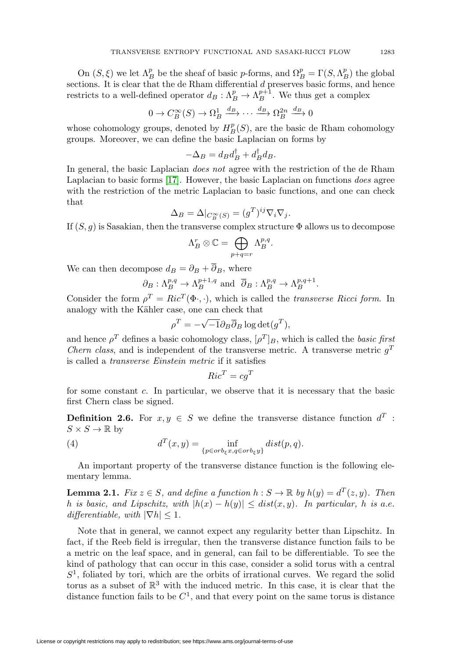On  $(S, \xi)$  we let  $\Lambda_B^p$  be the sheaf of basic *p*-forms, and  $\Omega_B^p = \Gamma(S, \Lambda_B^p)$  the global sections. It is clear that the de Rham differential  $d$  preserves basic forms, and hence restricts to a well-defined operator  $d_B: \Lambda_B^p \to \Lambda_B^{p+1}$ . We thus get a complex

$$
0 \to C^{\infty}_B(S) \to \Omega^1_B \xrightarrow{d_B} \cdots \xrightarrow{d_B} \Omega^{2n}_B \xrightarrow{d_B} 0
$$

whose cohomology groups, denoted by  $H_B^p(S)$ , are the basic de Rham cohomology groups. Moreover, we can define the basic Laplacian on forms by

$$
-\Delta_B = d_B d_B^{\dagger} + d_B^{\dagger} d_B.
$$

In general, the basic Laplacian does not agree with the restriction of the de Rham Laplacian to basic forms [\[17\]](#page-26-17). However, the basic Laplacian on functions does agree with the restriction of the metric Laplacian to basic functions, and one can check that

$$
\Delta_B = \Delta|_{C_B^{\infty}(S)} = (g^T)^{ij} \nabla_i \nabla_j.
$$

If  $(S, g)$  is Sasakian, then the transverse complex structure  $\Phi$  allows us to decompose

$$
\Lambda_B^r \otimes \mathbb{C} = \bigoplus_{p+q=r} \Lambda_B^{p,q}.
$$

We can then decompose  $d_B = \partial_B + \overline{\partial}_B$ , where

$$
\partial_B: \Lambda_B^{p,q} \to \Lambda_B^{p+1,q}
$$
 and  $\overline{\partial}_B: \Lambda_B^{p,q} \to \Lambda_B^{p,q+1}$ .

Consider the form  $\rho^T = Ric^T(\Phi, \cdot)$ , which is called the *transverse Ricci form*. In analogy with the Kähler case, one can check that

$$
\rho^T = -\sqrt{-1} \partial_B \overline{\partial}_B \log \det(g^T),
$$

and hence  $\rho^T$  defines a basic cohomology class,  $[\rho^T]_B$ , which is called the basic first *Chern class,* and is independent of the transverse metric. A transverse metric  $q<sup>T</sup>$ is called a transverse Einstein metric if it satisfies

$$
Ric^T = cg^T
$$

for some constant c. In particular, we observe that it is necessary that the basic first Chern class be signed.

**Definition 2.6.** For  $x, y \in S$  we define the transverse distance function  $d^T$ :  $S \times S \to \mathbb{R}$  by

(4) 
$$
d^T(x,y) = \inf_{\{p \in orb_{\xi}x, q \in orb_{\xi}y\}} dist(p,q).
$$

An important property of the transverse distance function is the following elementary lemma.

**Lemma 2.1.** Fix  $z \in S$ , and define a function  $h : S \to \mathbb{R}$  by  $h(y) = d^T(z, y)$ . Then h is basic, and Lipschitz, with  $|h(x) - h(y)| \leq dist(x, y)$ . In particular, h is a.e. differentiable, with  $|\nabla h| \leq 1$ .

Note that in general, we cannot expect any regularity better than Lipschitz. In fact, if the Reeb field is irregular, then the transverse distance function fails to be a metric on the leaf space, and in general, can fail to be differentiable. To see the kind of pathology that can occur in this case, consider a solid torus with a central  $S<sup>1</sup>$ , foliated by tori, which are the orbits of irrational curves. We regard the solid torus as a subset of  $\mathbb{R}^3$  with the induced metric. In this case, it is clear that the distance function fails to be  $C^1$ , and that every point on the same torus is distance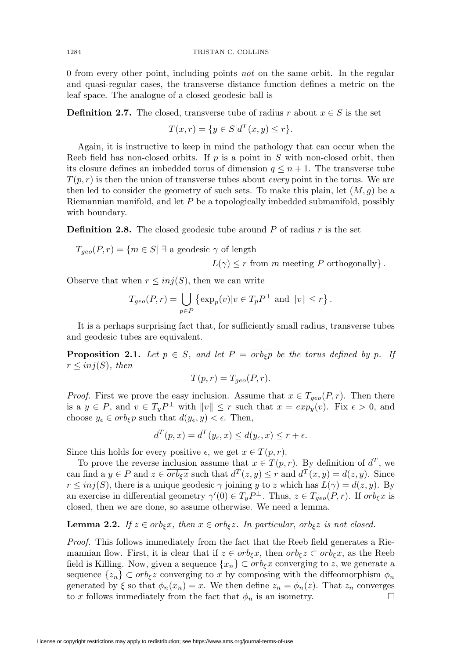0 from every other point, including points not on the same orbit. In the regular and quasi-regular cases, the transverse distance function defines a metric on the leaf space. The analogue of a closed geodesic ball is

**Definition 2.7.** The closed, transverse tube of radius r about  $x \in S$  is the set

$$
T(x,r) = \{ y \in S | d^T(x,y) \le r \}.
$$

Again, it is instructive to keep in mind the pathology that can occur when the Reeb field has non-closed orbits. If  $p$  is a point in  $S$  with non-closed orbit, then its closure defines an imbedded torus of dimension  $q \leq n+1$ . The transverse tube  $T(p,r)$  is then the union of transverse tubes about *every* point in the torus. We are then led to consider the geometry of such sets. To make this plain, let  $(M, g)$  be a Riemannian manifold, and let P be a topologically imbedded submanifold, possibly with boundary.

**Definition 2.8.** The closed geodesic tube around P of radius r is the set

 $T_{geo}(P,r) = \{m \in S | \exists \text{ a geodesic } \gamma \text{ of length }\}$ 

 $L(\gamma) \leq r$  from m meeting P orthogonally }.

Observe that when  $r \leq inj(S)$ , then we can write

$$
T_{geo}(P,r) = \bigcup_{p \in P} \left\{ \exp_p(v) | v \in T_p P^{\perp} \text{ and } ||v|| \le r \right\}.
$$

It is a perhaps surprising fact that, for sufficiently small radius, transverse tubes and geodesic tubes are equivalent.

<span id="page-7-1"></span>**Proposition 2.1.** Let  $p \in S$ , and let  $P = \overline{orb_{\xi}p}$  be the torus defined by p. If  $r \leq inj(S)$ , then

$$
T(p,r) = T_{geo}(P,r).
$$

*Proof.* First we prove the easy inclusion. Assume that  $x \in T_{geo}(P, r)$ . Then there is a  $y \in P$ , and  $v \in T_y P^{\perp}$  with  $||v|| \leq r$  such that  $x = exp_y(v)$ . Fix  $\epsilon > 0$ , and choose  $y_{\epsilon} \in orb_{\epsilon}p$  such that  $d(y_{\epsilon}, y) < \epsilon$ . Then,

$$
d^T(p,x) = d^T(y_\epsilon, x) \le d(y_\epsilon, x) \le r + \epsilon.
$$

Since this holds for every positive  $\epsilon$ , we get  $x \in T(p,r)$ .

To prove the reverse inclusion assume that  $x \in T(p,r)$ . By definition of  $d^T$ , we can find a  $y \in P$  and  $z \in \overline{orb_{\xi}x}$  such that  $d^T(z, y) \leq r$  and  $d^T(x, y) = d(z, y)$ . Since  $r \leq inj(S)$ , there is a unique geodesic  $\gamma$  joining y to z which has  $L(\gamma) = d(z, y)$ . By an exercise in differential geometry  $\gamma'(0) \in T_y P^{\perp}$ . Thus,  $z \in T_{geo}(P,r)$ . If  $orb_{\xi}x$  is closed, then we are done, so assume otherwise. We need a lemma.

# <span id="page-7-0"></span>**Lemma 2.2.** If  $z \in \overline{orb_{\xi}x}$ , then  $x \in \overline{orb_{\xi}z}$ . In particular, orb<sub> $\xi$ </sub> is not closed.

Proof. This follows immediately from the fact that the Reeb field generates a Riemannian flow. First, it is clear that if  $z \in orb_{\epsilon}x$ , then  $orb_{\epsilon}z \subset orb_{\epsilon}x$ , as the Reeb field is Killing. Now, given a sequence  $\{x_n\} \subset orb_{\xi}x$  converging to z, we generate a sequence  $\{z_n\} \subset orb_{\xi}z$  converging to x by composing with the diffeomorphism  $\phi_n$ generated by  $\xi$  so that  $\phi_n(x_n) = x$ . We then define  $z_n = \phi_n(z)$ . That  $z_n$  converges to x follows immediately from the fact that  $\phi_n$  is an isometry.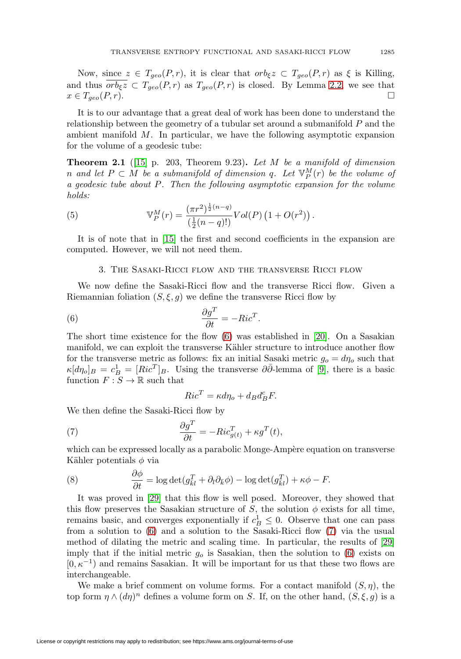Now, since  $z \in T_{geo}(P,r)$ , it is clear that  $orb_{\xi}z \subset T_{geo}(P,r)$  as  $\xi$  is Killing, and thus  $\overline{orb_{\xi z}} \subset T_{geo}(P,r)$  as  $T_{geo}(P,r)$  is closed. By Lemma [2.2,](#page-7-0) we see that  $x \in T_{geo}(P,r).$ 

It is to our advantage that a great deal of work has been done to understand the relationship between the geometry of a tubular set around a submanifold P and the ambient manifold M. In particular, we have the following asymptotic expansion for the volume of a geodesic tube:

<span id="page-8-3"></span>**Theorem 2.1** ([\[15\]](#page-25-11) p. 203, Theorem 9.23)**.** Let M be a manifold of dimension n and let  $P \subset M$  be a submanifold of dimension q. Let  $\mathbb{V}_P^M(r)$  be the volume of a geodesic tube about P. Then the following asymptotic expansion for the volume holds:

(5) 
$$
\mathbb{V}_P^M(r) = \frac{(\pi r^2)^{\frac{1}{2}(n-q)}}{\left(\frac{1}{2}(n-q)!\right)} Vol(P) \left(1 + O(r^2)\right).
$$

It is of note that in [\[15\]](#page-25-11) the first and second coefficients in the expansion are computed. However, we will not need them.

# 3. The Sasaki-Ricci flow and the transverse Ricci flow

We now define the Sasaki-Ricci flow and the transverse Ricci flow. Given a Riemannian foliation  $(S, \xi, g)$  we define the transverse Ricci flow by

<span id="page-8-0"></span>(6) 
$$
\frac{\partial g^T}{\partial t} = -Ric^T.
$$

The short time existence for the flow [\(6\)](#page-8-0) was established in [\[20\]](#page-26-5). On a Sasakian manifold, we can exploit the transverse Kähler structure to introduce another flow for the transverse metric as follows: fix an initial Sasaki metric  $g_o = d\eta_o$  such that  $\kappa[d\eta_o]_B = c_B^1 = [Ric^T]_B$ . Using the transverse  $\partial\bar{\partial}$ -lemma of [\[9\]](#page-25-12), there is a basic function  $F : S \to \mathbb{R}$  such that

$$
Ric^T = \kappa d\eta_o + d_B d_B^c F.
$$

We then define the Sasaki-Ricci flow by

<span id="page-8-1"></span>(7) 
$$
\frac{\partial g^T}{\partial t} = -Ric_{g(t)}^T + \kappa g^T(t),
$$

which can be expressed locally as a parabolic Monge-Ampère equation on transverse Kähler potentials  $\phi$  via

<span id="page-8-2"></span>(8) 
$$
\frac{\partial \phi}{\partial t} = \log \det(g_{\bar{k}l}^T + \partial_l \partial_{\bar{k}} \phi) - \log \det(g_{\bar{k}l}^T) + \kappa \phi - F.
$$

It was proved in [\[29\]](#page-26-6) that this flow is well posed. Moreover, they showed that this flow preserves the Sasakian structure of S, the solution  $\phi$  exists for all time, remains basic, and converges exponentially if  $c_B^1 \leq 0$ . Observe that one can pass from a solution to [\(6\)](#page-8-0) and a solution to the Sasaki-Ricci flow [\(7\)](#page-8-1) via the usual method of dilating the metric and scaling time. In particular, the results of [\[29\]](#page-26-6) imply that if the initial metric  $g<sub>o</sub>$  is Sasakian, then the solution to [\(6\)](#page-8-0) exists on  $[0, \kappa^{-1})$  and remains Sasakian. It will be important for us that these two flows are interchangeable.

We make a brief comment on volume forms. For a contact manifold  $(S, \eta)$ , the top form  $\eta \wedge (d\eta)^n$  defines a volume form on S. If, on the other hand,  $(S, \xi, g)$  is a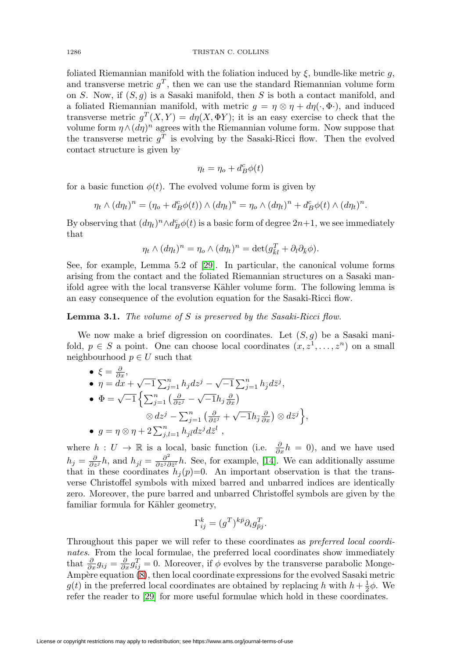foliated Riemannian manifold with the foliation induced by  $\xi$ , bundle-like metric q, and transverse metric  $g^T$ , then we can use the standard Riemannian volume form on S. Now, if  $(S, g)$  is a Sasaki manifold, then S is both a contact manifold, and a foliated Riemannian manifold, with metric  $g = \eta \otimes \eta + d\eta(\cdot, \Phi)$ , and induced transverse metric  $g^T(X, Y) = d\eta(X, \Phi Y)$ ; it is an easy exercise to check that the volume form  $\eta \wedge (d\eta)^n$  agrees with the Riemannian volume form. Now suppose that the transverse metric  $q^T$  is evolving by the Sasaki-Ricci flow. Then the evolved contact structure is given by

$$
\eta_t = \eta_o + d_B^c \phi(t)
$$

for a basic function  $\phi(t)$ . The evolved volume form is given by

$$
\eta_t \wedge (d\eta_t)^n = (\eta_o + d_B^c \phi(t)) \wedge (d\eta_t)^n = \eta_o \wedge (d\eta_t)^n + d_B^c \phi(t) \wedge (d\eta_t)^n.
$$

By observing that  $(d\eta_t)^n \wedge d_B^c \phi(t)$  is a basic form of degree  $2n+1$ , we see immediately that

$$
\eta_t \wedge (d\eta_t)^n = \eta_o \wedge (d\eta_t)^n = \det(g_{\bar{k}l}^T + \partial_l \partial_{\bar{k}} \phi).
$$

See, for example, Lemma 5.2 of [\[29\]](#page-26-6). In particular, the canonical volume forms arising from the contact and the foliated Riemannian structures on a Sasaki manifold agree with the local transverse Kähler volume form. The following lemma is an easy consequence of the evolution equation for the Sasaki-Ricci flow.

**Lemma 3.1.** The volume of S is preserved by the Sasaki-Ricci flow.

We now make a brief digression on coordinates. Let  $(S, g)$  be a Sasaki manifold,  $p \in S$  a point. One can choose local coordinates  $(x, z^1, \ldots, z^n)$  on a small neighbourhood  $p \in U$  such that

\n- \n
$$
\begin{aligned}\n \bullet \ \xi &= \frac{\partial}{\partial x}, \\
\bullet \ \eta &= dx + \sqrt{-1} \sum_{j=1}^{n} h_j \, dz^j - \sqrt{-1} \sum_{j=1}^{n} h_j \, d\bar{z}^j, \\
\bullet \ \Phi &= \sqrt{-1} \left\{ \sum_{j=1}^{n} \left( \frac{\partial}{\partial z^j} - \sqrt{-1} h_j \frac{\partial}{\partial x} \right) \right. \\
&\quad \otimes dz^j - \sum_{j=1}^{n} \left( \frac{\partial}{\partial \bar{z}^j} + \sqrt{-1} h_j \frac{\partial}{\partial x} \right) \otimes d\bar{z}^j \right\}, \\
\bullet \ \ g &= \eta \otimes \eta + 2 \sum_{j,l=1}^{n} h_j \bar{u} \, dz^j \, d\bar{z}^l \,,\n \end{aligned}
$$
\n
\n

where  $h: U \to \mathbb{R}$  is a local, basic function (i.e.  $\frac{\partial}{\partial x}h = 0$ ), and we have used  $h_j = \frac{\partial}{\partial z^j} h$ , and  $h_{j\bar{l}} = \frac{\partial^2}{\partial z^j \partial \bar{z}^l} h$ . See, for example, [\[14\]](#page-25-7). We can additionally assume that in these coordinates  $h_j(p)=0$ . An important observation is that the transverse Christoffel symbols with mixed barred and unbarred indices are identically zero. Moreover, the pure barred and unbarred Christoffel symbols are given by the familiar formula for Kähler geometry,

$$
\Gamma_{ij}^k = (g^T)^{k\bar{p}} \partial_i g_{\bar{p}j}^T.
$$

Throughout this paper we will refer to these coordinates as preferred local coordinates. From the local formulae, the preferred local coordinates show immediately that  $\frac{\partial}{\partial x}g_{ij} = \frac{\partial}{\partial x}g_{ij}^T = 0$ . Moreover, if  $\phi$  evolves by the transverse parabolic Monge-Ampère equation  $(8)$ , then local coordinate expressions for the evolved Sasaki metric  $g(t)$  in the preferred local coordinates are obtained by replacing h with  $h + \frac{1}{2}\phi$ . We refer the reader to [\[29\]](#page-26-6) for more useful formulae which hold in these coordinates.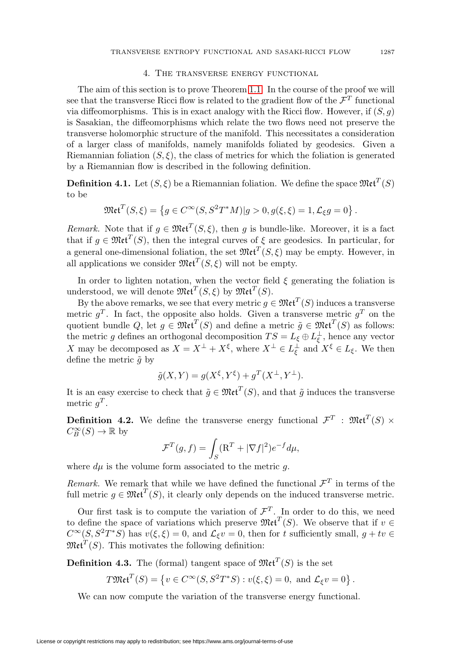## 4. The transverse energy functional

The aim of this section is to prove Theorem [1.1.](#page-1-0) In the course of the proof we will see that the transverse Ricci flow is related to the gradient flow of the  $\mathcal{F}^T$  functional via diffeomorphisms. This is in exact analogy with the Ricci flow. However, if  $(S, q)$ is Sasakian, the diffeomorphisms which relate the two flows need not preserve the transverse holomorphic structure of the manifold. This necessitates a consideration of a larger class of manifolds, namely manifolds foliated by geodesics. Given a Riemannian foliation  $(S, \xi)$ , the class of metrics for which the foliation is generated by a Riemannian flow is described in the following definition.

<span id="page-10-0"></span>**Definition 4.1.** Let  $(S, \xi)$  be a Riemannian foliation. We define the space  $\mathfrak{Met}^T(S)$ to be

$$
\mathfrak{Met}^{T}(S,\xi) = \left\{ g \in C^{\infty}(S, S^{2}T^{*}M)|g>0, g(\xi,\xi) = 1, \mathcal{L}_{\xi}g = 0 \right\}.
$$

Remark. Note that if  $g \in \mathfrak{Met}^T(S, \xi)$ , then g is bundle-like. Moreover, it is a fact that if  $g \in \mathfrak{Met}^T(S)$ , then the integral curves of  $\xi$  are geodesics. In particular, for a general one-dimensional foliation, the set  $\mathfrak{Met}^{T}(S, \mathcal{E})$  may be empty. However, in all applications we consider  $\mathfrak{Met}^{T}(S,\xi)$  will not be empty.

In order to lighten notation, when the vector field  $\xi$  generating the foliation is understood, we will denote  $\mathfrak{Met}^{T}(S,\xi)$  by  $\mathfrak{Met}^{T}(S)$ .

By the above remarks, we see that every metric  $q \in \mathfrak{Met}^T(S)$  induces a transverse metric  $g^T$ . In fact, the opposite also holds. Given a transverse metric  $g^T$  on the quotient bundle Q, let  $g \in \mathfrak{Met}^{T}(S)$  and define a metric  $\tilde{g} \in \mathfrak{Met}^{T}(S)$  as follows: the metric g defines an orthogonal decomposition  $TS = L_{\xi} \oplus L_{\xi}^{\perp}$ , hence any vector X may be decomposed as  $X = X^{\perp} + X^{\xi}$ , where  $X^{\perp} \in L_{\xi}^{\perp}$  and  $X^{\xi} \in L_{\xi}$ . We then define the metric  $\tilde{q}$  by

$$
\tilde{g}(X,Y) = g(X^{\xi}, Y^{\xi}) + g^{T}(X^{\perp}, Y^{\perp}).
$$

It is an easy exercise to check that  $\tilde{g} \in \mathfrak{Met}^T(S)$ , and that  $\tilde{g}$  induces the transverse metric  $q^T$ .

<span id="page-10-1"></span>**Definition 4.2.** We define the transverse energy functional  $\mathcal{F}^T$  :  $\mathfrak{Met}^T(S)$  ×  $C^{\infty}_B(S) \to \mathbb{R}$  by

$$
\mathcal{F}^T(g,f) = \int_S (\mathbf{R}^T + |\nabla f|^2) e^{-f} d\mu,
$$

where  $d\mu$  is the volume form associated to the metric g.

Remark. We remark that while we have defined the functional  $\mathcal{F}^T$  in terms of the full metric  $g \in \mathfrak{Met}^T(S)$ , it clearly only depends on the induced transverse metric.

Our first task is to compute the variation of  $\mathcal{F}^T$ . In order to do this, we need to define the space of variations which preserve  $\mathfrak{Met}^T(S)$ . We observe that if  $v \in$  $C^{\infty}(S, S^2T^*S)$  has  $v(\xi, \xi) = 0$ , and  $\mathcal{L}_{\xi}v = 0$ , then for t sufficiently small,  $g + tv \in$  $\mathfrak{Met}^{T}(S)$ . This motivates the following definition:

**Definition 4.3.** The (formal) tangent space of  $\mathfrak{Met}^{T}(S)$  is the set

$$
T\mathfrak{Met}^T(S) = \left\{ v \in C^\infty(S, S^2T^*S) : v(\xi, \xi) = 0, \text{ and } \mathcal{L}_\xi v = 0 \right\}.
$$

We can now compute the variation of the transverse energy functional.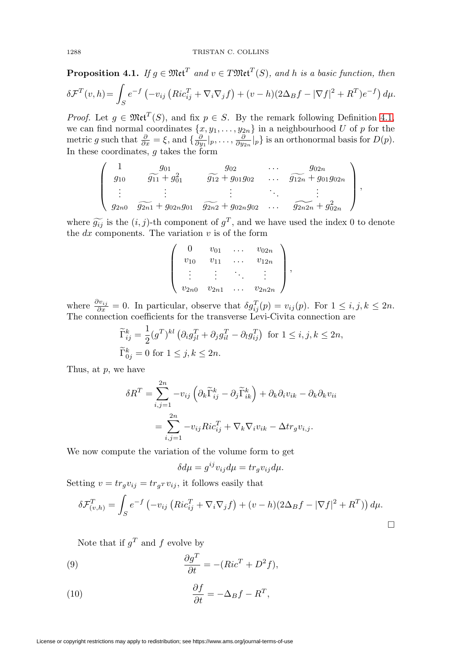**Proposition 4.1.** If  $g \in \mathfrak{Met}^{T}$  and  $v \in T \mathfrak{Met}^{T}(S)$ , and h is a basic function, then  $\delta \mathcal{F}^T(v,h) =$  $\int_{S} e^{-f} \left(-v_{ij} \left(Ric_{ij}^{T} + \nabla_{i} \nabla_{j} f\right) + (v-h)(2\Delta_{B}f - |\nabla f|^{2} + R^{T})e^{-f}\right) d\mu.$ 

*Proof.* Let  $g \in \mathfrak{Met}^T(S)$ , and fix  $p \in S$ . By the remark following Definition [4.1,](#page-10-0) we can find normal coordinates  $\{x, y_1, \ldots, y_{2n}\}$  in a neighbourhood U of p for the metric g such that  $\frac{\partial}{\partial x} = \xi$ , and  $\{\frac{\partial}{\partial y_1}|_p, \ldots, \frac{\partial}{\partial y_{2n}}|_p\}$  is an orthonormal basis for  $D(p)$ . In these coordinates, g takes the form

$$
\left(\begin{array}{cccc} 1 & g_{01} & g_{02} & \cdots & g_{02n} \\ g_{10} & \widetilde{g_{11}} + g_{01}^2 & \widetilde{g_{12}} + g_{01}g_{02} & \cdots & \widetilde{g_{12n}} + g_{01}g_{02n} \\ \vdots & \vdots & \vdots & \ddots & \vdots \\ g_{2n0} & \widetilde{g_{2n1}} + g_{02n}g_{01} & \widetilde{g_{2n2}} + g_{02n}g_{02} & \cdots & \widetilde{g_{2n2n}} + g_{02n}^2 \end{array}\right),
$$

where  $\widetilde{g_{ij}}$  is the  $(i, j)$ -th component of  $g^T$ , and we have used the index 0 to denote the dx components. The variation v is of the form the  $dx$  components. The variation  $v$  is of the form

$$
\left(\begin{array}{cccc} 0 & v_{01} & \dots & v_{02n} \\ v_{10} & v_{11} & \dots & v_{12n} \\ \vdots & \vdots & \ddots & \vdots \\ v_{2n0} & v_{2n1} & \dots & v_{2n2n} \end{array}\right),
$$

where  $\frac{\partial v_{ij}}{\partial x} = 0$ . In particular, observe that  $\delta g_{ij}^T(p) = v_{ij}(p)$ . For  $1 \le i, j, k \le 2n$ . The connection coefficients for the transverse Levi-Civita connection are

$$
\widetilde{\Gamma}_{ij}^k = \frac{1}{2} (g^T)^{kl} \left( \partial_i g_{jl}^T + \partial_j g_{il}^T - \partial_l g_{ij}^T \right) \text{ for } 1 \le i, j, k \le 2n,
$$
  
\n
$$
\widetilde{\Gamma}_{0j}^k = 0 \text{ for } 1 \le j, k \le 2n.
$$

Thus, at p, we have

$$
\delta R^T = \sum_{i,j=1}^{2n} -v_{ij} \left( \partial_k \widetilde{\Gamma}_{ij}^k - \partial_j \widetilde{\Gamma}_{ik}^k \right) + \partial_k \partial_i v_{ik} - \partial_k \partial_k v_{ii}
$$

$$
= \sum_{i,j=1}^{2n} -v_{ij} Ric_{ij}^T + \nabla_k \nabla_i v_{ik} - \Delta t r_g v_{i,j}.
$$

We now compute the variation of the volume form to get

$$
\delta d\mu = g^{ij}v_{ij}d\mu = tr_g v_{ij}d\mu.
$$

Setting  $v = tr_g v_{ij} = tr_g r v_{ij}$ , it follows easily that

$$
\delta \mathcal{F}_{(v,h)}^T = \int_S e^{-f} \left( -v_{ij} \left( Ric_{ij}^T + \nabla_i \nabla_j f \right) + (v-h)(2\Delta_B f - |\nabla f|^2 + R^T) \right) d\mu.
$$

Note that if  $q^T$  and f evolve by

<span id="page-11-0"></span>(9) 
$$
\frac{\partial g^T}{\partial t} = -(Ric^T + D^2f),
$$

<span id="page-11-1"></span>(10) 
$$
\frac{\partial f}{\partial t} = -\Delta_B f - R^T,
$$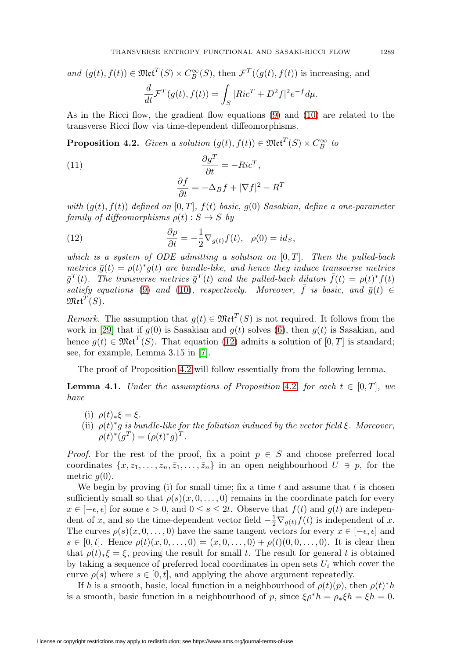and  $(g(t), f(t)) \in \mathfrak{Met}^{T}(S) \times C^{\infty}_{B}(S)$ , then  $\mathcal{F}^{T}((g(t), f(t))$  is increasing, and  $\frac{d}{dt}\mathcal{F}^T(g(t),f(t)) = \int$ S  $|Ric^{T} + D^{2}f|^{2}e^{-f}d\mu.$ 

As in the Ricci flow, the gradient flow equations [\(9\)](#page-11-0) and [\(10\)](#page-11-1) are related to the transverse Ricci flow via time-dependent diffeomorphisms.

<span id="page-12-1"></span>**Proposition 4.2.** Given a solution  $(g(t), f(t)) \in \mathfrak{Met}^T(S) \times C^{\infty}_B$  to

<span id="page-12-3"></span>(11) 
$$
\frac{\partial g^T}{\partial t} = -Ric^T,
$$

$$
\frac{\partial f}{\partial t} = -\Delta_B f + |\nabla f|^2 - R^T.
$$

with  $(g(t), f(t))$  defined on  $[0, T]$ ,  $f(t)$  basic,  $g(0)$  Sasakian, define a one-parameter family of diffeomorphisms  $\rho(t): S \to S$  by

<span id="page-12-0"></span>(12) 
$$
\frac{\partial \rho}{\partial t} = -\frac{1}{2} \nabla_{g(t)} f(t), \quad \rho(0) = id_S,
$$

which is a system of ODE admitting a solution on  $[0, T]$ . Then the pulled-back metrics  $\bar{g}(t) = \rho(t) * g(t)$  are bundle-like, and hence they induce transverse metrics  $\bar{g}^T(t)$ . The transverse metrics  $\bar{g}^T(t)$  and the pulled-back dilaton  $\bar{f}(t) = \rho(t)^* f(t)$ satisfy equations [\(9\)](#page-11-0) and [\(10\)](#page-11-1), respectively. Moreover,  $\bar{f}$  is basic, and  $\bar{g}(t) \in$  $\mathfrak{Met}^{T}(S)$ .

Remark. The assumption that  $g(t) \in \mathfrak{Met}^T(S)$  is not required. It follows from the work in [\[29\]](#page-26-6) that if  $g(0)$  is Sasakian and  $g(t)$  solves [\(6\)](#page-8-0), then  $g(t)$  is Sasakian, and hence  $g(t) \in \mathfrak{Met}^T(S)$ . That equation [\(12\)](#page-12-0) admits a solution of  $[0, T]$  is standard; see, for example, Lemma 3.15 in [\[7\]](#page-25-13).

The proof of Proposition [4.2](#page-12-1) will follow essentially from the following lemma.

<span id="page-12-2"></span>**Lemma 4.1.** Under the assumptions of Proposition [4.2](#page-12-1), for each  $t \in [0, T]$ , we have

- (i)  $\rho(t)_*\xi = \xi$ .
- (ii)  $\rho(t) * g$  is bundle-like for the foliation induced by the vector field  $\xi$ . Moreover,  $\rho(t)^*(g^T) = (\rho(t)^*g)^T$ .

*Proof.* For the rest of the proof, fix a point  $p \in S$  and choose preferred local coordinates  $\{x, z_1, \ldots, z_n, \overline{z}_1, \ldots, \overline{z}_n\}$  in an open neighbourhood  $U \ni p$ , for the metric  $g(0)$ .

We begin by proving (i) for small time; fix a time  $t$  and assume that  $t$  is chosen sufficiently small so that  $\rho(s)(x, 0, \ldots, 0)$  remains in the coordinate patch for every  $x \in [-\epsilon, \epsilon]$  for some  $\epsilon > 0$ , and  $0 \le s \le 2t$ . Observe that  $f(t)$  and  $g(t)$  are independent of x, and so the time-dependent vector field  $-\frac{1}{2}\nabla_{g(t)}f(t)$  is independent of x. The curves  $\rho(s)(x,0,\ldots,0)$  have the same tangent vectors for every  $x \in [-\epsilon, \epsilon]$  and  $s \in [0, t]$ . Hence  $\rho(t)(x, 0, \ldots, 0) = (x, 0, \ldots, 0) + \rho(t)(0, 0, \ldots, 0)$ . It is clear then that  $\rho(t)$ <sub>\*</sub>ξ = ξ, proving the result for small t. The result for general t is obtained by taking a sequence of preferred local coordinates in open sets  $U_i$  which cover the curve  $\rho(s)$  where  $s \in [0, t]$ , and applying the above argument repeatedly.

If h is a smooth, basic, local function in a neighbourhood of  $\rho(t)(p)$ , then  $\rho(t)^*h$ is a smooth, basic function in a neighbourhood of p, since  $\xi \rho^* h = \rho_* \xi h = \xi h = 0$ .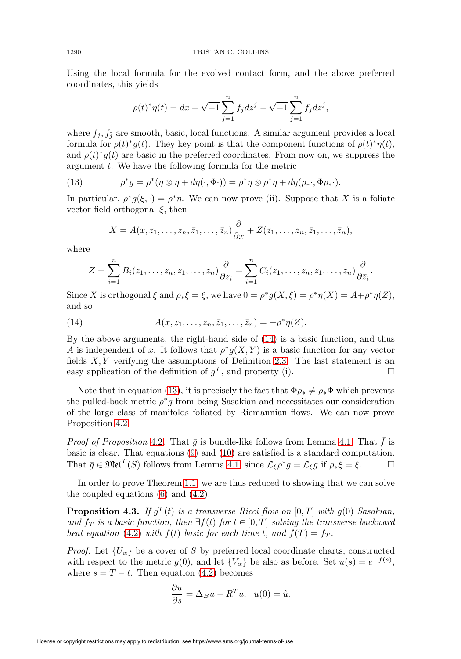Using the local formula for the evolved contact form, and the above preferred coordinates, this yields

$$
\rho(t)^{*}\eta(t) = dx + \sqrt{-1}\sum_{j=1}^{n} f_j dz^{j} - \sqrt{-1}\sum_{j=1}^{n} f_{\bar{j}} d\bar{z}^{j},
$$

where  $f_j, f_{\bar{j}}$  are smooth, basic, local functions. A similar argument provides a local formula for  $\rho(t)$ <sup>\*</sup> $g(t)$ . They key point is that the component functions of  $\rho(t)$ <sup>\*</sup> $\eta(t)$ , and  $\rho(t) * g(t)$  are basic in the preferred coordinates. From now on, we suppress the argument  $t$ . We have the following formula for the metric

<span id="page-13-1"></span>(13) 
$$
\rho^* g = \rho^* (\eta \otimes \eta + d\eta(\cdot, \Phi \cdot)) = \rho^* \eta \otimes \rho^* \eta + d\eta(\rho_* \cdot, \Phi \rho_* \cdot).
$$

In particular,  $\rho^* g(\xi, \cdot) = \rho^* \eta$ . We can now prove (ii). Suppose that X is a foliate vector field orthogonal  $\xi$ , then

$$
X = A(x, z_1, \ldots, z_n, \overline{z}_1, \ldots, \overline{z}_n) \frac{\partial}{\partial x} + Z(z_1, \ldots, z_n, \overline{z}_1, \ldots, \overline{z}_n),
$$

where

$$
Z=\sum_{i=1}^n B_i(z_1,\ldots,z_n,\bar{z}_1,\ldots,\bar{z}_n)\frac{\partial}{\partial z_i}+\sum_{i=1}^n C_i(z_1,\ldots,z_n,\bar{z}_1,\ldots,\bar{z}_n)\frac{\partial}{\partial \bar{z}_i}.
$$

Since X is orthogonal  $\xi$  and  $\rho_* \xi = \xi$ , we have  $0 = \rho^* g(X, \xi) = \rho^* \eta(X) = A + \rho^* \eta(Z)$ , and so

<span id="page-13-0"></span>(14) 
$$
A(x, z_1, \dots, z_n, \bar{z}_1, \dots, \bar{z}_n) = -\rho^* \eta(Z).
$$

By the above arguments, the right-hand side of [\(14\)](#page-13-0) is a basic function, and thus A is independent of x. It follows that  $\rho^*g(X, Y)$  is a basic function for any vector fields  $X, Y$  verifying the assumptions of Definition [2.3.](#page-3-1) The last statement is an easy application of the definition of  $q<sup>T</sup>$ , and property (i).  $\Box$ 

Note that in equation [\(13\)](#page-13-1), it is precisely the fact that  $\Phi \rho_* \neq \rho_* \Phi$  which prevents the pulled-back metric  $\rho^*g$  from being Sasakian and necessitates our consideration of the large class of manifolds foliated by Riemannian flows. We can now prove Proposition [4.2.](#page-12-1)

*Proof of Proposition [4.2](#page-12-1).* That  $\bar{g}$  is bundle-like follows from Lemma [4.1.](#page-12-2) That  $f$  is basic is clear. That equations [\(9\)](#page-11-0) and [\(10\)](#page-11-1) are satisfied is a standard computation. That  $\bar{g} \in \mathfrak{Met}^T(S)$  follows from Lemma [4.1,](#page-12-2) since  $\mathcal{L}_{\xi} \rho^* g = \mathcal{L}_{\xi} g$  if  $\rho_* \xi = \xi$ .

In order to prove Theorem [1.1,](#page-1-0) we are thus reduced to showing that we can solve the coupled equations [\(6\)](#page-8-0) and [\(4.2\)](#page-12-3).

<span id="page-13-2"></span>**Proposition 4.3.** If  $g^T(t)$  is a transverse Ricci flow on [0, T] with  $g(0)$  Sasakian, and  $f_T$  is a basic function, then  $\exists f(t)$  for  $t \in [0, T]$  solving the transverse backward heat equation [\(4.2\)](#page-12-3) with  $f(t)$  basic for each time t, and  $f(T) = f_T$ .

*Proof.* Let  $\{U_{\alpha}\}\$ be a cover of S by preferred local coordinate charts, constructed with respect to the metric  $g(0)$ , and let  $\{V_{\alpha}\}\$ be also as before. Set  $u(s) = e^{-f(s)}$ , where  $s = T - t$ . Then equation [\(4.2\)](#page-12-3) becomes

$$
\frac{\partial u}{\partial s} = \Delta_B u - R^T u, \quad u(0) = \hat{u}.
$$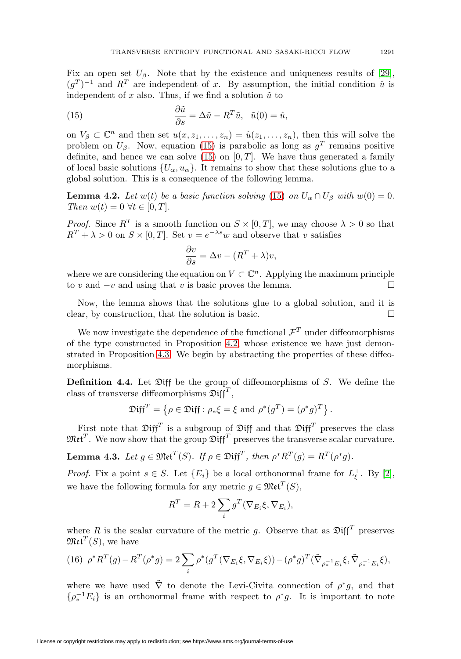Fix an open set  $U_\beta$ . Note that by the existence and uniqueness results of [\[29\]](#page-26-6),  $(q^T)^{-1}$  and  $R^T$  are independent of x. By assumption, the initial condition  $\hat{u}$  is independent of x also. Thus, if we find a solution  $\tilde{u}$  to

<span id="page-14-0"></span>(15) 
$$
\frac{\partial \tilde{u}}{\partial s} = \Delta \tilde{u} - R^T \tilde{u}, \quad \tilde{u}(0) = \hat{u},
$$

on  $V_\beta \subset \mathbb{C}^n$  and then set  $u(x, z_1, \ldots, z_n) = \tilde{u}(z_1, \ldots, z_n)$ , then this will solve the problem on  $U_\beta$ . Now, equation [\(15\)](#page-14-0) is parabolic as long as  $g^T$  remains positive definite, and hence we can solve [\(15\)](#page-14-0) on  $[0, T]$ . We have thus generated a family of local basic solutions  $\{U_{\alpha}, u_{\alpha}\}\.$  It remains to show that these solutions glue to a global solution. This is a consequence of the following lemma.

**Lemma 4.2.** Let  $w(t)$  be a basic function solving [\(15\)](#page-14-0) on  $U_{\alpha} \cap U_{\beta}$  with  $w(0) = 0$ . Then  $w(t)=0 \ \forall t \in [0, T].$ 

*Proof.* Since  $R^T$  is a smooth function on  $S \times [0, T]$ , we may choose  $\lambda > 0$  so that  $R^T + \lambda > 0$  on  $S \times [0, T]$ . Set  $v = e^{-\lambda s}w$  and observe that v satisfies

$$
\frac{\partial v}{\partial s} = \Delta v - (R^T + \lambda)v,
$$

where we are considering the equation on  $V \subset \mathbb{C}^n$ . Applying the maximum principle to v and  $-v$  and using that v is basic proves the lemma.  $\Box$ 

Now, the lemma shows that the solutions glue to a global solution, and it is clear, by construction, that the solution is basic.  $\Box$ 

We now investigate the dependence of the functional  $\mathcal{F}^T$  under diffeomorphisms of the type constructed in Proposition [4.2,](#page-12-1) whose existence we have just demonstrated in Proposition [4.3.](#page-13-2) We begin by abstracting the properties of these diffeomorphisms.

**Definition 4.4.** Let Diff be the group of diffeomorphisms of S. We define the class of transverse diffeomorphisms  $\mathfrak{Diff}^T$ ,

$$
\mathfrak{Diff}^T = \{ \rho \in \mathfrak{Diff} : \rho_* \xi = \xi \text{ and } \rho^*(g^T) = (\rho^* g)^T \}.
$$

First note that  $\mathfrak{Diff}^T$  is a subgroup of  $\mathfrak{Diff}$  and that  $\mathfrak{Diff}^T$  preserves the class  $\mathfrak{Met}^T$ . We now show that the group  $\mathfrak{Diff}^T$  preserves the transverse scalar curvature.

<span id="page-14-2"></span>**Lemma 4.3.** Let  $q \in \mathfrak{Met}^{T}(S)$ . If  $\rho \in \mathfrak{Diff}^{T}$ , then  $\rho^*R^{T}(q) = R^{T}(\rho^*q)$ .

*Proof.* Fix a point  $s \in S$ . Let  $\{E_i\}$  be a local orthonormal frame for  $L_{\xi}^{\perp}$ . By [\[2\]](#page-25-8), we have the following formula for any metric  $g \in \mathfrak{Met}^T(S)$ ,

$$
R^T = R + 2\sum_i g^T(\nabla_{E_i}\xi, \nabla_{E_i}),
$$

where R is the scalar curvature of the metric g. Observe that as  $\mathfrak{Diff}^T$  preserves  $\mathfrak{Met}^{T}(S)$ , we have

<span id="page-14-1"></span>
$$
(16)\ \rho^*R^T(g) - R^T(\rho^*g) = 2\sum_i \rho^*(g^T(\nabla_{E_i}\xi, \nabla_{E_i}\xi)) - (\rho^*g)^T(\tilde{\nabla}_{\rho_*^{-1}E_i}\xi, \tilde{\nabla}_{\rho_*^{-1}E_i}\xi),
$$

where we have used  $\tilde{\nabla}$  to denote the Levi-Civita connection of  $\rho^*g$ , and that  $\{\rho_*^{-1} E_i\}$  is an orthonormal frame with respect to  $\rho^* g$ . It is important to note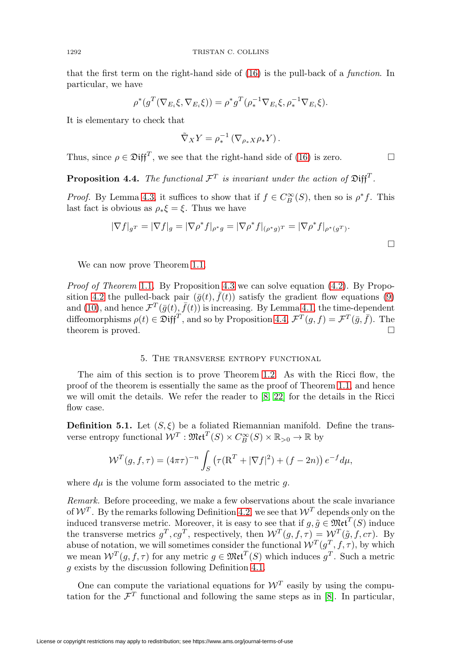that the first term on the right-hand side of [\(16\)](#page-14-1) is the pull-back of a function. In particular, we have

$$
\rho^*(g^T(\nabla_{E_i}\xi, \nabla_{E_i}\xi)) = \rho^*g^T(\rho_*^{-1}\nabla_{E_i}\xi, \rho_*^{-1}\nabla_{E_i}\xi).
$$

It is elementary to check that

$$
\tilde{\nabla}_X Y = \rho_*^{-1} \left( \nabla_{\rho_* X} \rho_* Y \right).
$$

Thus, since  $\rho \in \mathfrak{Diff}^T$ , we see that the right-hand side of [\(16\)](#page-14-1) is zero.

<span id="page-15-0"></span>**Proposition 4.4.** The functional  $\mathcal{F}^T$  is invariant under the action of  $\mathfrak{Diff}^T$ .

*Proof.* By Lemma [4.3,](#page-14-2) it suffices to show that if  $f \in C_B^{\infty}(S)$ , then so is  $\rho^* f$ . This last fact is obvious as  $\rho_* \xi = \xi$ . Thus we have

$$
|\nabla f|_{g^T} = |\nabla f|_{g} = |\nabla \rho^* f|_{\rho^* g} = |\nabla \rho^* f|_{(\rho^* g)^T} = |\nabla \rho^* f|_{\rho^*(g^T)}.
$$

We can now prove Theorem [1.1.](#page-1-0)

*Proof of Theorem [1.1](#page-1-0).* By Proposition [4.3](#page-13-2) we can solve equation  $(4.2)$ . By Propo-sition [4.2](#page-12-1) the pulled-back pair  $(\bar{g}(t), f(t))$  satisfy the gradient flow equations [\(9\)](#page-11-0) and [\(10\)](#page-11-1), and hence  $\mathcal{F}^T(\bar{g}(t),\bar{f}(t))$  is increasing. By Lemma [4.1,](#page-12-2) the time-dependent diffeomorphisms  $\rho(t) \in \mathfrak{Diff}^T$ , and so by Proposition [4.4,](#page-15-0)  $\mathcal{F}^T(g, f) = \mathcal{F}^T(\bar{g}, \bar{f})$ . The theorem is proved.  $\square$ 

## 5. The transverse entropy functional

The aim of this section is to prove Theorem [1.2.](#page-2-1) As with the Ricci flow, the proof of the theorem is essentially the same as the proof of Theorem [1.1,](#page-1-0) and hence we will omit the details. We refer the reader to [\[8,](#page-25-6) [22\]](#page-26-12) for the details in the Ricci flow case.

<span id="page-15-1"></span>**Definition 5.1.** Let  $(S, \xi)$  be a foliated Riemannian manifold. Define the transverse entropy functional  $W^T : \mathfrak{Met}^T(S) \times C^{\infty}_B(S) \times \mathbb{R}_{>0} \to \mathbb{R}$  by

$$
W^{T}(g, f, \tau) = (4\pi\tau)^{-n} \int_{S} (\tau (\mathbf{R}^{T} + |\nabla f|^{2}) + (f - 2n)) e^{-f} d\mu,
$$

where  $d\mu$  is the volume form associated to the metric g.

Remark. Before proceeding, we make a few observations about the scale invariance of  $W^T$ . By the remarks following Definition [4.2,](#page-10-1) we see that  $W^T$  depends only on the induced transverse metric. Moreover, it is easy to see that if  $g, \tilde{g} \in \mathfrak{Met}^T(S)$  induce the transverse metrics  $g^T, cg^T$ , respectively, then  $W^T(g, f, \tau) = W^T(\tilde{g}, f, c\tau)$ . By abuse of notation, we will sometimes consider the functional  $\mathcal{W}^T(g^T, f, \tau)$ , by which we mean  $W^T(g, f, \tau)$  for any metric  $g \in \mathfrak{Met}^T(S)$  which induces  $g^T$ . Such a metric g exists by the discussion following Definition [4.1.](#page-10-0)

One can compute the variational equations for  $\mathcal{W}^T$  easily by using the computation for the  $\mathcal{F}^T$  functional and following the same steps as in [\[8\]](#page-25-6). In particular,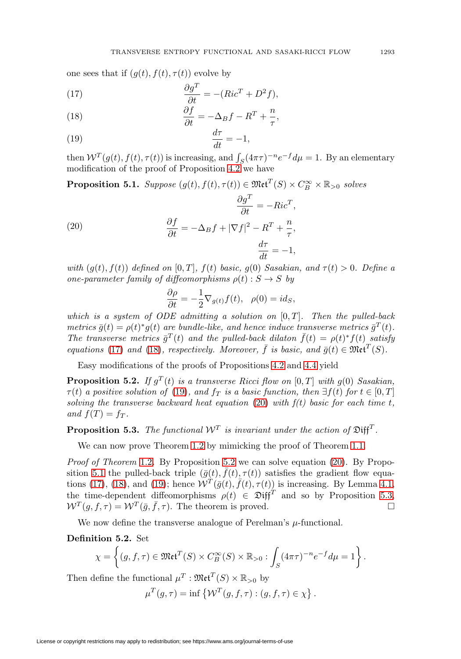one sees that if  $(g(t), f(t), \tau(t))$  evolve by

<span id="page-16-0"></span>(17) 
$$
\frac{\partial g^T}{\partial t} = -(Ric^T + D^2f),
$$

<span id="page-16-1"></span>(18) 
$$
\frac{\partial f}{\partial t} = -\Delta_B f - R^T + \frac{n}{\tau},
$$

<span id="page-16-2"></span>
$$
\frac{dt}{dt} = -1,
$$

then  $W^T(g(t), f(t), \tau(t))$  is increasing, and  $\int_S (4\pi\tau)^{-n} e^{-f} d\mu = 1$ . By an elementary modification of the proof of Proposition  $4.2$  we have

<span id="page-16-5"></span>**Proposition 5.1.** Suppose  $(g(t), f(t), \tau(t)) \in \mathfrak{Met}^T(S) \times C^{\infty}_B \times \mathbb{R}_{>0}$  solves

<span id="page-16-3"></span>(20) 
$$
\frac{\partial f}{\partial t} = -Ric^{T},
$$

$$
\frac{\partial f}{\partial t} = -\Delta_{B}f + |\nabla f|^{2} - R^{T} + \frac{n}{\tau},
$$

$$
\frac{d\tau}{dt} = -1,
$$

with  $(g(t), f(t))$  defined on  $[0, T]$ ,  $f(t)$  basic,  $g(0)$  Sasakian, and  $\tau(t) > 0$ . Define a one-parameter family of diffeomorphisms  $\rho(t): S \to S$  by

$$
\frac{\partial \rho}{\partial t} = -\frac{1}{2} \nabla_{g(t)} f(t), \quad \rho(0) = id_S,
$$

which is a system of ODE admitting a solution on  $[0, T]$ . Then the pulled-back metrics  $\bar{q}(t) = \rho(t)^* q(t)$  are bundle-like, and hence induce transverse metrics  $\bar{q}^T(t)$ . The transverse metrics  $\bar{g}^T(t)$  and the pulled-back dilaton  $\bar{f}(t) = \rho(t)^* f(t)$  satisfy equations [\(17\)](#page-16-0) and [\(18\)](#page-16-1), respectively. Moreover,  $\bar{f}$  is basic, and  $\bar{q}(t) \in \mathfrak{Met}^{T}(S)$ .

Easy modifications of the proofs of Propositions [4.2](#page-12-1) and [4.4](#page-15-0) yield

<span id="page-16-4"></span>**Proposition 5.2.** If  $q^T(t)$  is a transverse Ricci flow on [0, T] with  $q(0)$  Sasakian,  $\tau(t)$  a positive solution of [\(19\)](#page-16-2), and  $f_T$  is a basic function, then  $\exists f(t)$  for  $t \in [0, T]$ solving the transverse backward heat equation [\(20\)](#page-16-3) with  $f(t)$  basic for each time t, and  $f(T) = f_T$ .

<span id="page-16-6"></span>**Proposition 5.3.** The functional  $W^T$  is invariant under the action of  $\mathfrak{Diff}^T$ .

We can now prove Theorem [1.2](#page-2-1) by mimicking the proof of Theorem [1.1.](#page-1-0)

*Proof of Theorem [1.2](#page-2-1).* By Proposition [5.2](#page-16-4) we can solve equation  $(20)$ . By Propo-sition [5.1](#page-16-5) the pulled-back triple  $(\bar{g}(t), \bar{f}(t), \tau(t))$  satisfies the gradient flow equa-tions [\(17\)](#page-16-0), [\(18\)](#page-16-1), and [\(19\)](#page-16-2); hence  $\mathcal{W}^T(\bar{g}(t), \bar{f}(t), \tau(t))$  is increasing. By Lemma [4.1,](#page-12-2) the time-dependent diffeomorphisms  $\rho(t) \in \mathfrak{Diff}^T$  and so by Proposition [5.3,](#page-16-6)  $W^T(g, f, \tau) = W^T(\bar{g}, \bar{f}, \tau)$ . The theorem is proved.

We now define the transverse analogue of Perelman's  $\mu$ -functional.

**Definition 5.2.** Set

$$
\chi = \left\{ (g, f, \tau) \in \mathfrak{Met}^T(S) \times C_B^{\infty}(S) \times \mathbb{R}_{>0} : \int_S (4\pi\tau)^{-n} e^{-f} d\mu = 1 \right\}.
$$

Then define the functional  $\mu^T : \mathfrak{Met}^T(S) \times \mathbb{R}_{>0}$  by

 $\mu^{T}(g,\tau) = \inf \{ \mathcal{W}^{T}(g,f,\tau) : (g,f,\tau) \in \chi \}.$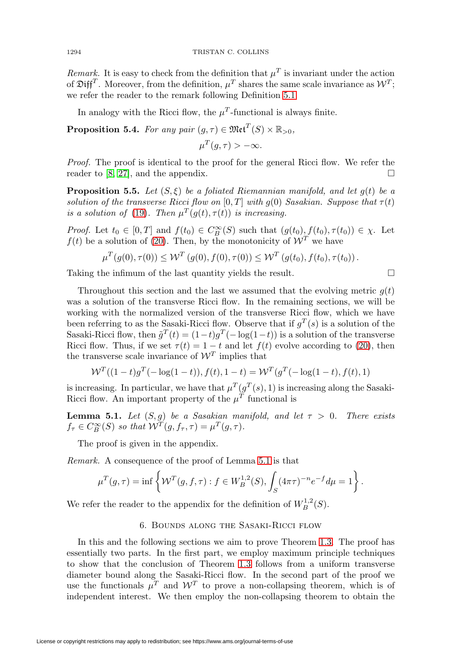Remark. It is easy to check from the definition that  $\mu^T$  is invariant under the action of  $\mathfrak{Diff}^T$ . Moreover, from the definition,  $\mu^T$  shares the same scale invariance as  $\mathcal{W}^T$ ; we refer the reader to the remark following Definition [5.1.](#page-15-1)

In analogy with the Ricci flow, the  $\mu^T$ -functional is always finite.

**Proposition 5.4.** For any pair  $(g, \tau) \in \mathfrak{Met}^{T}(S) \times \mathbb{R}_{>0}$ ,

 $\mu^T(q,\tau) > -\infty$ .

Proof. The proof is identical to the proof for the general Ricci flow. We refer the reader to [\[8,](#page-25-6) [27\]](#page-26-18), and the appendix.  $\square$ 

**Proposition 5.5.** Let  $(S, \xi)$  be a foliated Riemannian manifold, and let  $g(t)$  be a solution of the transverse Ricci flow on  $[0, T]$  with g(0) Sasakian. Suppose that  $\tau(t)$ is a solution of [\(19\)](#page-16-2). Then  $\mu^T(q(t), \tau(t))$  is increasing.

*Proof.* Let  $t_0 \in [0,T]$  and  $f(t_0) \in C_B^{\infty}(S)$  such that  $(g(t_0), f(t_0), \tau(t_0)) \in \chi$ . Let  $f(t)$  be a solution of [\(20\)](#page-16-3). Then, by the monotonicity of  $\mathcal{W}^T$  we have

$$
\mu^T(g(0), \tau(0)) \leq \mathcal{W}^T(g(0), f(0), \tau(0)) \leq \mathcal{W}^T(g(t_0), f(t_0), \tau(t_0)).
$$

Taking the infimum of the last quantity yields the result.  $\Box$ 

Throughout this section and the last we assumed that the evolving metric  $q(t)$ was a solution of the transverse Ricci flow. In the remaining sections, we will be working with the normalized version of the transverse Ricci flow, which we have been referring to as the Sasaki-Ricci flow. Observe that if  $g<sup>T</sup>(s)$  is a solution of the Sasaki-Ricci flow, then  $\tilde{g}^T(t) = (1-t)g^T(-\log(1-t))$  is a solution of the transverse Ricci flow. Thus, if we set  $\tau(t)=1-t$  and let  $f(t)$  evolve according to [\(20\)](#page-16-3), then the transverse scale invariance of  $\mathcal{W}^T$  implies that

$$
\mathcal{W}^{T}((1-t)g^{T}(-\log(1-t)), f(t), 1-t) = \mathcal{W}^{T}(g^{T}(-\log(1-t), f(t), 1))
$$

is increasing. In particular, we have that  $\mu^T(g^T(s), 1)$  is increasing along the Sasaki-Ricci flow. An important property of the  $\mu^T$  functional is

<span id="page-17-0"></span>**Lemma 5.1.** Let  $(S, g)$  be a Sasakian manifold, and let  $\tau > 0$ . There exists  $f_{\tau} \in C^{\infty}_{B}(S)$  so that  $\mathcal{W}^{T}(g, f_{\tau}, \tau) = \mu^{T}(g, \tau)$ .

The proof is given in the appendix.

Remark. A consequence of the proof of Lemma [5.1](#page-17-0) is that

$$
\mu^T(g,\tau) = \inf \left\{ \mathcal{W}^T(g,f,\tau) : f \in W_B^{1,2}(S), \int_S (4\pi\tau)^{-n} e^{-f} d\mu = 1 \right\}.
$$

We refer the reader to the appendix for the definition of  $W^{1,2}_B(S)$ .

# 6. Bounds along the Sasaki-Ricci flow

In this and the following sections we aim to prove Theorem [1.3.](#page-2-0) The proof has essentially two parts. In the first part, we employ maximum principle techniques to show that the conclusion of Theorem [1.3](#page-2-0) follows from a uniform transverse diameter bound along the Sasaki-Ricci flow. In the second part of the proof we use the functionals  $\mu^T$  and  $\mathcal{W}^T$  to prove a non-collapsing theorem, which is of independent interest. We then employ the non-collapsing theorem to obtain the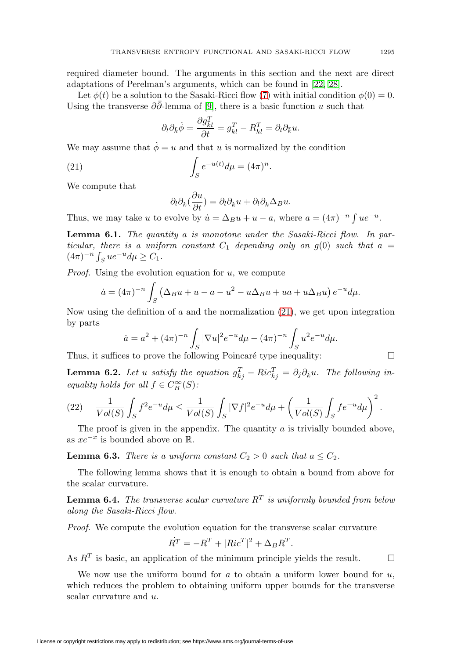required diameter bound. The arguments in this section and the next are direct adaptations of Perelman's arguments, which can be found in [\[22,](#page-26-12) [28\]](#page-26-13).

Let  $\phi(t)$  be a solution to the Sasaki-Ricci flow [\(7\)](#page-8-1) with initial condition  $\phi(0) = 0$ . Using the transverse  $\partial \bar{\partial}$ -lemma of [\[9\]](#page-25-12), there is a basic function u such that

$$
\partial_l \partial_{\bar{k}} \dot{\phi} = \frac{\partial g_{\bar{k}l}^T}{\partial t} = g_{\bar{k}l}^T - R_{\bar{k}l}^T = \partial_l \partial_{\bar{k}} u.
$$

We may assume that  $\dot{\phi} = u$  and that u is normalized by the condition

<span id="page-18-0"></span>(21) 
$$
\int_{S} e^{-u(t)} d\mu = (4\pi)^n.
$$

We compute that

$$
\partial_l \partial_{\bar{k}} \left( \frac{\partial u}{\partial t} \right) = \partial_l \partial_{\bar{k}} u + \partial_l \partial_{\bar{k}} \Delta_B u.
$$

Thus, we may take u to evolve by  $\dot{u} = \Delta_B u + u - a$ , where  $a = (4\pi)^{-n} \int u e^{-u}$ .

**Lemma 6.1.** The quantity a is monotone under the Sasaki-Ricci flow. In particular, there is a uniform constant  $C_1$  depending only on  $g(0)$  such that  $a =$  $(4\pi)^{-n} \int_S ue^{-u} d\mu \ge C_1.$ 

*Proof.* Using the evolution equation for  $u$ , we compute

$$
\dot{a} = (4\pi)^{-n} \int_{S} \left( \Delta_{B} u + u - a - u^{2} - u \Delta_{B} u + u a + u \Delta_{B} u \right) e^{-u} d\mu.
$$

Now using the definition of  $a$  and the normalization  $(21)$ , we get upon integration by parts

$$
\dot{a} = a^2 + (4\pi)^{-n} \int_S |\nabla u|^2 e^{-u} d\mu - (4\pi)^{-n} \int_S u^2 e^{-u} d\mu.
$$

Thus, it suffices to prove the following Poincaré type inequality:  $\Box$ 

**Lemma 6.2.** Let u satisfy the equation  $g_{\bar{k}j}^T - Ric_{\bar{k}j}^T = \partial_j \partial_{\bar{k}} u$ . The following inequality holds for all  $f \in C^{\infty}_B(S)$ :

$$
(22) \qquad \frac{1}{Vol(S)} \int_S f^2 e^{-u} d\mu \le \frac{1}{Vol(S)} \int_S |\nabla f|^2 e^{-u} d\mu + \left(\frac{1}{Vol(S)} \int_S f e^{-u} d\mu\right)^2.
$$

The proof is given in the appendix. The quantity  $a$  is trivially bounded above, as  $xe^{-x}$  is bounded above on  $\mathbb{R}$ .

**Lemma 6.3.** There is a uniform constant  $C_2 > 0$  such that  $a \leq C_2$ .

The following lemma shows that it is enough to obtain a bound from above for the scalar curvature.

**Lemma 6.4.** The transverse scalar curvature  $R<sup>T</sup>$  is uniformly bounded from below along the Sasaki-Ricci flow.

Proof. We compute the evolution equation for the transverse scalar curvature

$$
\dot{R}^T = -R^T + |Ric^T|^2 + \Delta_B R^T.
$$

As  $R^T$  is basic, an application of the minimum principle yields the result.  $\Box$ 

We now use the uniform bound for  $a$  to obtain a uniform lower bound for  $u$ , which reduces the problem to obtaining uniform upper bounds for the transverse scalar curvature and u.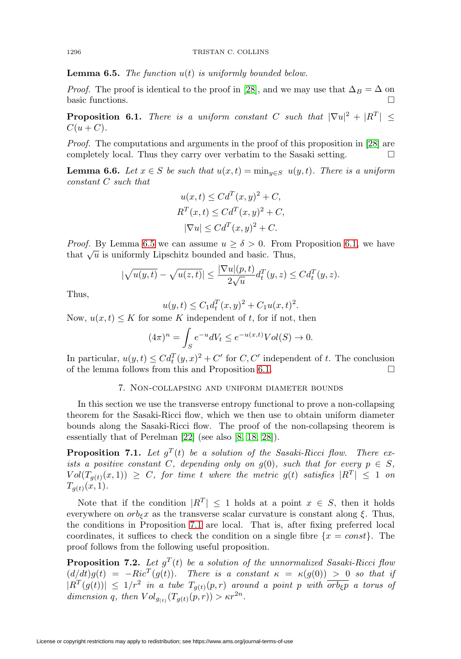<span id="page-19-0"></span>**Lemma 6.5.** The function  $u(t)$  is uniformly bounded below.

*Proof.* The proof is identical to the proof in [\[28\]](#page-26-13), and we may use that  $\Delta_B = \Delta$  on basic functions.

<span id="page-19-1"></span>**Proposition 6.1.** There is a uniform constant C such that  $|\nabla u|^2 + |R^T| \le$  $C(u+C)$ .

Proof. The computations and arguments in the proof of this proposition in [\[28\]](#page-26-13) are completely local. Thus they carry over verbatim to the Sasaki setting.  $\Box$ 

<span id="page-19-4"></span>**Lemma 6.6.** Let  $x \in S$  be such that  $u(x,t) = \min_{y \in S} u(y,t)$ . There is a uniform constant C such that

$$
u(x,t) \leq Cd^T(x,y)^2 + C,
$$
  
\n
$$
R^T(x,t) \leq Cd^T(x,y)^2 + C,
$$
  
\n
$$
|\nabla u| \leq Cd^T(x,y)^2 + C.
$$

*Proof.* By Lemma [6.5](#page-19-0) we can assume  $u \ge \delta > 0$ . From Proposition [6.1,](#page-19-1) we have that  $\sqrt{u}$  is uniformly Lipschitz bounded and basic. Thus,

$$
|\sqrt{u(y,t)} - \sqrt{u(z,t)}| \le \frac{|\nabla u|(p,t)}{2\sqrt{u}} d_t^T(y,z) \le C d_t^T(y,z).
$$

Thus,

$$
u(y,t) \le C_1 d_t^T(x,y)^2 + C_1 u(x,t)^2.
$$

Now,  $u(x, t) \leq K$  for some K independent of t, for if not, then

$$
(4\pi)^n = \int_S e^{-u} dV_t \le e^{-u(x,t)} Vol(S) \to 0.
$$

In particular,  $u(y, t) \leq C d_t^T (y, x)^2 + C'$  for  $C, C'$  independent of t. The conclusion of the lemma follows from this and Proposition [6.1.](#page-19-1)  $\Box$ 

# 7. Non-collapsing and uniform diameter bounds

In this section we use the transverse entropy functional to prove a non-collapsing theorem for the Sasaki-Ricci flow, which we then use to obtain uniform diameter bounds along the Sasaki-Ricci flow. The proof of the non-collapsing theorem is essentially that of Perelman [\[22\]](#page-26-12) (see also [\[8,](#page-25-6) [18,](#page-26-14) [28\]](#page-26-13)).

<span id="page-19-2"></span>**Proposition 7.1.** Let  $g^T(t)$  be a solution of the Sasaki-Ricci flow. There exists a positive constant C, depending only on  $g(0)$ , such that for every  $p \in S$ ,  $Vol(T_{g(t)}(x, 1)) \geq C$ , for time t where the metric  $g(t)$  satisfies  $|R^T| \leq 1$  on  $T_{g(t)}(x, 1).$ 

Note that if the condition  $|R^T| \leq 1$  holds at a point  $x \in S$ , then it holds everywhere on  $orb_{\varepsilon}x$  as the transverse scalar curvature is constant along  $\xi$ . Thus, the conditions in Proposition [7.1](#page-19-2) are local. That is, after fixing preferred local coordinates, it suffices to check the condition on a single fibre  $\{x = const\}$ . The proof follows from the following useful proposition.

<span id="page-19-3"></span>**Proposition 7.2.** Let  $g^T(t)$  be a solution of the unnormalized Sasaki-Ricci flow  $(d/dt)g(t) = -Ric^{T}(g(t)).$  There is a constant  $\kappa = \kappa(g(0)) > 0$  so that if  $|R^T(g(t))| \leq 1/r^2$  in a tube  $T_{g(t)}(p,r)$  around a point p with  $\overline{orb_{\xi}p}$  a torus of dimension q, then  $Vol_{q_{(t)}}(T_{q(t)}(p,r)) > \kappa r^{2n}$ .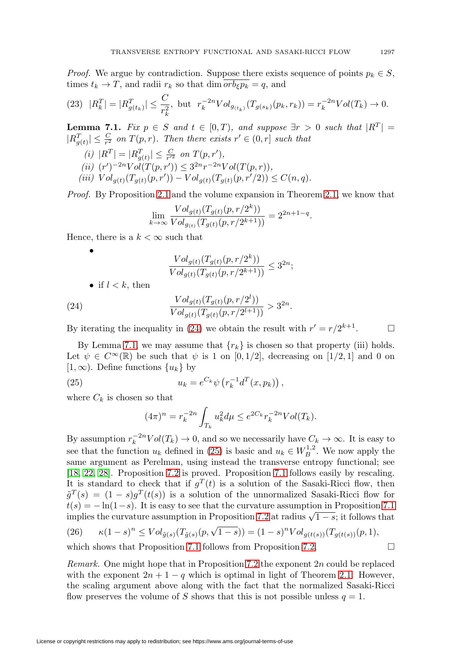*Proof.* We argue by contradiction. Suppose there exists sequence of points  $p_k \in S$ , times  $t_k \to T$ , and radii  $r_k$  so that dim  $\overline{orb_{\xi} p_k} = q$ , and

$$
(23) \ \ |R_k^T| = |R_{g(t_k)}^T| \leq \frac{C}{r_k^2}, \ \ \text{but} \ \ r_k^{-2n} Vol_{g(t_k)}(T_{g(s_k)}(p_k, r_k)) = r_k^{-2n} Vol(T_k) \to 0.
$$

<span id="page-20-1"></span>**Lemma 7.1.** Fix  $p \in S$  and  $t \in [0,T)$ , and suppose  $\exists r > 0$  such that  $|R^T| =$  $|R_{g(t)}^T| \leq \frac{C}{r^2}$  on  $T(p,r)$ . Then there exists  $r' \in (0,r]$  such that

(i)  $|R^T| = |R_{g(t)}^T| \leq \frac{C}{r'^2}$  on  $T(p, r'),$ (ii)  $(r')^{-2n}Vol(T(p, r')) \leq 3^{2n}r^{-2n}Vol(T(p, r)),$ (iii)  $Vol_{g(t)}(T_{g(t)}(p,r')) - Vol_{g(t)}(T_{g(t)}(p,r'/2)) \leq C(n,q).$ 

Proof. By Proposition [2.1](#page-7-1) and the volume expansion in Theorem [2.1,](#page-8-3) we know that

$$
\lim_{k \to \infty} \frac{Vol_{g(t)}(T_{g(t)}(p, r/2^k))}{Vol_{g(t)}(T_{g(t)}(p, r/2^{k+1}))} = 2^{2n+1-q}.
$$

Hence, there is a  $k < \infty$  such that

• 
$$
\frac{Vol_{g(t)}(T_{g(t)}(p,r/2^k))}{Vol_{g(t)}(T_{g(t)}(p,r/2^{k+1}))} \leq 3^{2n};
$$

• if  $l < k$ , then

<span id="page-20-0"></span>(24) 
$$
\frac{Vol_{g(t)}(T_{g(t)}(p,r/2^l))}{Vol_{g(t)}(T_{g(t)}(p,r/2^{l+1}))} > 3^{2n}.
$$

By iterating the inequality in [\(24\)](#page-20-0) we obtain the result with  $r' = r/2^{k+1}$ .  $\Box$ 

By Lemma [7.1,](#page-20-1) we may assume that  $\{r_k\}$  is chosen so that property (iii) holds. Let  $\psi \in C^{\infty}(\mathbb{R})$  be such that  $\psi$  is 1 on [0, 1/2], decreasing on [1/2, 1] and 0 on  $[1, \infty)$ . Define functions  $\{u_k\}$  by

<span id="page-20-2"></span>(25) 
$$
u_k = e^{C_k} \psi \left( r_k^{-1} d^T(x, p_k) \right),
$$

where  $C_k$  is chosen so that

$$
(4\pi)^n = r_k^{-2n} \int_{T_k} u_k^2 d\mu \le e^{2C_k} r_k^{-2n} Vol(T_k).
$$

By assumption  $r_k^{-2n}Vol(T_k) \to 0$ , and so we necessarily have  $C_k \to \infty$ . It is easy to see that the function  $u_k$  defined in [\(25\)](#page-20-2) is basic and  $u_k \in W_B^{1,2}$ . We now apply the same argument as Perelman, using instead the transverse entropy functional; see [\[18,](#page-26-14) [22,](#page-26-12) [28\]](#page-26-13). Proposition [7.2](#page-19-3) is proved. Proposition [7.1](#page-19-2) follows easily by rescaling. It is standard to check that if  $g<sup>T</sup>(t)$  is a solution of the Sasaki-Ricci flow, then  $\tilde{g}^{T}(s) = (1-s)g^{T}(t(s))$  is a solution of the unnormalized Sasaki-Ricci flow for  $t(s) = -\ln(1-s)$ . It is easy to see that the curvature assumption in Proposition [7.1](#page-19-2) implies the curvature assumption in Proposition [7.2](#page-19-3) at radius  $\sqrt{1-s}$ ; it follows that

(26) 
$$
\kappa(1-s)^n \leq Vol_{\tilde{g}(s)}(T_{\tilde{g}(s)}(p,\sqrt{1-s})) = (1-s)^n Vol_{g(t(s))}(T_{g(t(s))}(p,1),
$$

which shows that Proposition [7.1](#page-19-2) follows from Proposition [7.2.](#page-19-3)  $\Box$ 

*Remark.* One might hope that in Proposition [7.2](#page-19-3) the exponent  $2n$  could be replaced with the exponent  $2n + 1 - q$  which is optimal in light of Theorem [2.1.](#page-8-3) However, the scaling argument above along with the fact that the normalized Sasaki-Ricci flow preserves the volume of S shows that this is not possible unless  $q = 1$ .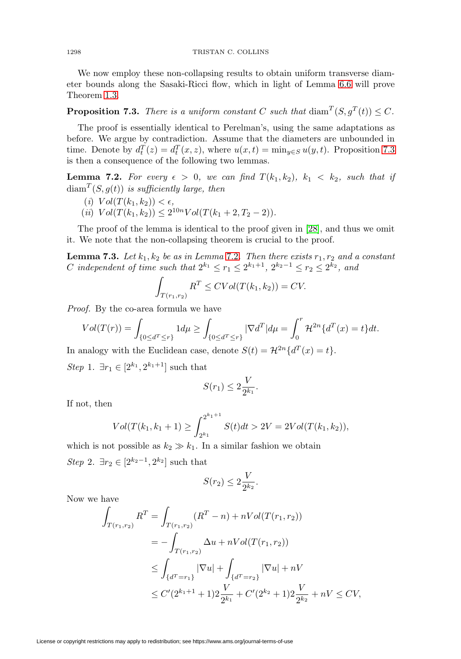We now employ these non-collapsing results to obtain uniform transverse diameter bounds along the Sasaki-Ricci flow, which in light of Lemma [6.6](#page-19-4) will prove Theorem [1.3.](#page-2-0)

<span id="page-21-0"></span>**Proposition 7.3.** There is a uniform constant C such that  $\text{diam}^T(S, g^T(t)) \leq C$ .

The proof is essentially identical to Perelman's, using the same adaptations as before. We argue by contradiction. Assume that the diameters are unbounded in time. Denote by  $d_t^T(z) = d_t^T(x, z)$ , where  $u(x, t) = \min_{y \in S} u(y, t)$ . Proposition [7.3](#page-21-0) is then a consequence of the following two lemmas.

<span id="page-21-1"></span>**Lemma 7.2.** For every  $\epsilon > 0$ , we can find  $T(k_1, k_2)$ ,  $k_1 < k_2$ , such that if  $\text{diam}^{T}(S, q(t))$  is sufficiently large, then

- (*i*)  $Vol(T(k_1, k_2)) < \epsilon$ ,
- (ii)  $Vol(T(k_1, k_2)) \leq 2^{10n} Vol(T(k_1 + 2, T_2 2)).$

The proof of the lemma is identical to the proof given in [\[28\]](#page-26-13), and thus we omit it. We note that the non-collapsing theorem is crucial to the proof.

<span id="page-21-2"></span>**Lemma 7.3.** Let  $k_1, k_2$  be as in Lemma [7.2](#page-21-1). Then there exists  $r_1, r_2$  and a constant *C* independent of time such that  $2^{k_1} \le r_1 \le 2^{k_1+1}$ ,  $2^{k_2-1} \le r_2 \le 2^{k_2}$ , and

$$
\int_{T(r_1,r_2)} R^T \le CVol(T(k_1,k_2)) = CV.
$$

Proof. By the co-area formula we have

$$
Vol(T(r)) = \int_{\{0 \le d^T \le r\}} 1 d\mu \ge \int_{\{0 \le d^T \le r\}} |\nabla d^T| d\mu = \int_0^r \mathcal{H}^{2n} \{d^T(x) = t\} dt.
$$

In analogy with the Euclidean case, denote  $S(t) = \mathcal{H}^{2n} \{ d^T(x) = t \}.$ 

Step 1.  $\exists r_1 \in [2^{k_1}, 2^{k_1+1}]$  such that

$$
S(r_1) \le 2\frac{V}{2^{k_1}}.
$$

If not, then

$$
Vol(T(k_1, k_1 + 1) \ge \int_{2^{k_1}}^{2^{k_1+1}} S(t) dt > 2V = 2Vol(T(k_1, k_2)),
$$

which is not possible as  $k_2 \gg k_1$ . In a similar fashion we obtain Step 2.  $\exists r_2 \in [2^{k_2-1}, 2^{k_2}]$  such that

$$
S(r_2) \le 2\frac{V}{2^{k_2}}.
$$

Now we have

$$
\int_{T(r_1,r_2)} R^T = \int_{T(r_1,r_2)} (R^T - n) + nVol(T(r_1,r_2))
$$
\n
$$
= -\int_{T(r_1,r_2)} \Delta u + nVol(T(r_1,r_2))
$$
\n
$$
\leq \int_{\{d^T = r_1\}} |\nabla u| + \int_{\{d^T = r_2\}} |\nabla u| + nV
$$
\n
$$
\leq C'(2^{k_1+1} + 1)2 \frac{V}{2^{k_1}} + C'(2^{k_2} + 1)2 \frac{V}{2^{k_2}} + nV \leq CV,
$$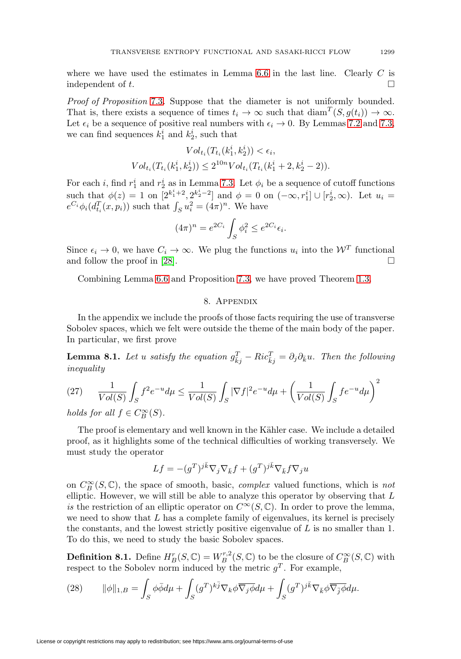where we have used the estimates in Lemma  $6.6$  in the last line. Clearly C is independent of  $t$ .

Proof of Proposition [7.3](#page-21-0). Suppose that the diameter is not uniformly bounded. That is, there exists a sequence of times  $t_i \to \infty$  such that  $\text{diam}^T(S, g(t_i)) \to \infty$ . Let  $\epsilon_i$  be a sequence of positive real numbers with  $\epsilon_i \to 0$ . By Lemmas [7.2](#page-21-1) and [7.3,](#page-21-2) we can find sequences  $k_1^i$  and  $k_2^i$ , such that

$$
Vol_{t_i}(T_{t_i}(k_1^i, k_2^i)) < \epsilon_i,
$$
  
\n
$$
Vol_{t_i}(T_{t_i}(k_1^i, k_2^i)) \le 2^{10n} Vol_{t_i}(T_{t_i}(k_1^i + 2, k_2^i - 2)).
$$

For each *i*, find  $r_1^i$  and  $r_2^i$  as in Lemma [7.3.](#page-21-2) Let  $\phi_i$  be a sequence of cutoff functions such that  $\phi(z) = 1$  on  $[2^{k_1^i+2}, 2^{k_2^i-2}]$  and  $\phi = 0$  on  $(-\infty, r_1^i] \cup [r_2^i, \infty)$ . Let  $u_i =$  $e^{C_i} \phi_i(d_{t_i}^T(x, p_i))$  such that  $\int_S u_i^2 = (4\pi)^n$ . We have

$$
(4\pi)^n = e^{2C_i} \int_S \phi_i^2 \le e^{2C_i} \epsilon_i.
$$

Since  $\epsilon_i \to 0$ , we have  $C_i \to \infty$ . We plug the functions  $u_i$  into the  $\mathcal{W}^T$  functional and follow the proof in [\[28\]](#page-26-13).  $\Box$ 

Combining Lemma [6.6](#page-19-4) and Proposition [7.3,](#page-21-0) we have proved Theorem [1.3.](#page-2-0)

## 8. Appendix

In the appendix we include the proofs of those facts requiring the use of transverse Sobolev spaces, which we felt were outside the theme of the main body of the paper. In particular, we first prove

<span id="page-22-1"></span>**Lemma 8.1.** Let u satisfy the equation  $g_{\overline{k}j}^T - Ric_{\overline{k}j}^T = \partial_j \partial_{\overline{k}} u$ . Then the following inequality

$$
(27) \qquad \frac{1}{Vol(S)} \int_S f^2 e^{-u} d\mu \le \frac{1}{Vol(S)} \int_S |\nabla f|^2 e^{-u} d\mu + \left(\frac{1}{Vol(S)} \int_S f e^{-u} d\mu\right)^2
$$

holds for all  $f \in C_B^{\infty}(S)$ .

The proof is elementary and well known in the Kähler case. We include a detailed proof, as it highlights some of the technical difficulties of working transversely. We must study the operator

$$
Lf = -(g^T)^{j\bar{k}} \nabla_j \nabla_{\bar{k}} f + (g^T)^{j\bar{k}} \nabla_{\bar{k}} f \nabla_j u
$$

on  $C^{\infty}_B(S, \mathbb{C})$ , the space of smooth, basic, *complex* valued functions, which is *not* elliptic. However, we will still be able to analyze this operator by observing that  $L$ is the restriction of an elliptic operator on  $C^{\infty}(S, \mathbb{C})$ . In order to prove the lemma, we need to show that  $L$  has a complete family of eigenvalues, its kernel is precisely the constants, and the lowest strictly positive eigenvalue of  $L$  is no smaller than 1. To do this, we need to study the basic Sobolev spaces.

<span id="page-22-0"></span>**Definition 8.1.** Define  $H_B^r(S, \mathbb{C}) = W_B^{r,2}(S, \mathbb{C})$  to be the closure of  $C_B^{\infty}(S, \mathbb{C})$  with respect to the Sobolev norm induced by the metric  $g<sup>T</sup>$ . For example,

(28) 
$$
\|\phi\|_{1,B} = \int_{S} \phi \bar{\phi} d\mu + \int_{S} (g^T)^{k\bar{j}} \nabla_k \phi \overline{\nabla_j \phi} d\mu + \int_{S} (g^T)^{j\bar{k}} \nabla_{\bar{k}} \phi \overline{\nabla_{\bar{j}} \phi} d\mu.
$$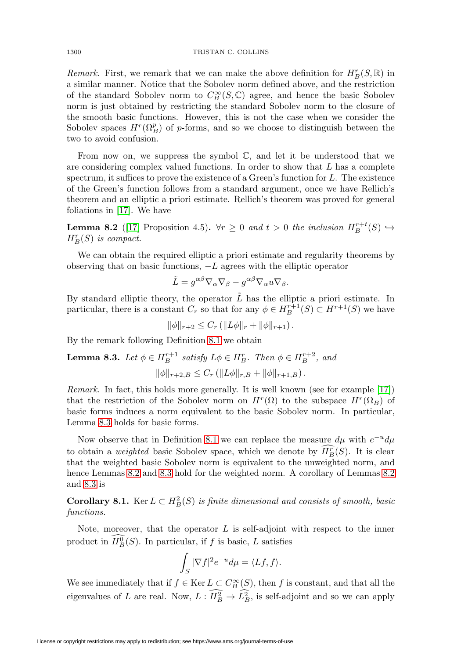Remark. First, we remark that we can make the above definition for  $H_B^r(S, \mathbb{R})$  in a similar manner. Notice that the Sobolev norm defined above, and the restriction of the standard Sobolev norm to  $C_B^{\infty}(S, \mathbb{C})$  agree, and hence the basic Sobolev norm is just obtained by restricting the standard Sobolev norm to the closure of the smooth basic functions. However, this is not the case when we consider the Sobolev spaces  $H^r(\Omega_B^p)$  of p-forms, and so we choose to distinguish between the two to avoid confusion.

From now on, we suppress the symbol  $\mathbb{C}$ , and let it be understood that we are considering complex valued functions. In order to show that L has a complete spectrum, it suffices to prove the existence of a Green's function for  $L$ . The existence of the Green's function follows from a standard argument, once we have Rellich's theorem and an elliptic a priori estimate. Rellich's theorem was proved for general foliations in [\[17\]](#page-26-17). We have

<span id="page-23-1"></span>**Lemma 8.2** ([\[17\]](#page-26-17) Proposition 4.5).  $\forall r \geq 0$  and  $t > 0$  the inclusion  $H_B^{r+t}(S) \hookrightarrow$  $H_B^r(S)$  is compact.

We can obtain the required elliptic a priori estimate and regularity theorems by observing that on basic functions,  $-L$  agrees with the elliptic operator

$$
\tilde{L} = g^{\alpha\beta} \nabla_{\alpha} \nabla_{\beta} - g^{\alpha\beta} \nabla_{\alpha} u \nabla_{\beta}.
$$

By standard elliptic theory, the operator  $\tilde{L}$  has the elliptic a priori estimate. In particular, there is a constant  $C_r$  so that for any  $\phi \in H_B^{r+1}(S) \subset H^{r+1}(S)$  we have

 $\|\phi\|_{r+2} \leq C_r \left( \|L\phi\|_r + \|\phi\|_{r+1} \right).$ 

By the remark following Definition [8.1](#page-22-0) we obtain

<span id="page-23-0"></span>**Lemma 8.3.** Let 
$$
\phi \in H_B^{r+1}
$$
 satisfy  $L\phi \in H_B^r$ . Then  $\phi \in H_B^{r+2}$ , and  

$$
\|\phi\|_{r+2,B} \leq C_r (\|L\phi\|_{r,B} + \|\phi\|_{r+1,B}).
$$

Remark. In fact, this holds more generally. It is well known (see for example [\[17\]](#page-26-17)) that the restriction of the Sobolev norm on  $H^r(\Omega)$  to the subspace  $H^r(\Omega_B)$  of basic forms induces a norm equivalent to the basic Sobolev norm. In particular, Lemma [8.3](#page-23-0) holds for basic forms.

Now observe that in Definition [8.1](#page-22-0) we can replace the measure  $d\mu$  with  $e^{-u}d\mu$ to obtain a weighted basic Sobolev space, which we denote by  $\overline{H}_B^r(S)$ . It is clear that the weighted basic Sobolev norm is equivalent to the unweighted norm, and hence Lemmas [8.2](#page-23-1) and [8.3](#page-23-0) hold for the weighted norm. A corollary of Lemmas [8.2](#page-23-1) and [8.3](#page-23-0) is

**Corollary 8.1.** Ker  $L \subset H_B^2(S)$  is finite dimensional and consists of smooth, basic functions.

Note, moreover, that the operator  $L$  is self-adjoint with respect to the inner product in  $H_B^0(S)$ . In particular, if f is basic, L satisfies

$$
\int_{S} |\nabla f|^2 e^{-u} d\mu = \langle Lf, f \rangle.
$$

We see immediately that if  $f \in \text{Ker } L \subset C^{\infty}_B(S)$ , then f is constant, and that all the eigenvalues of L are real. Now,  $L: H_B^2 \to L_B^2$ , is self-adjoint and so we can apply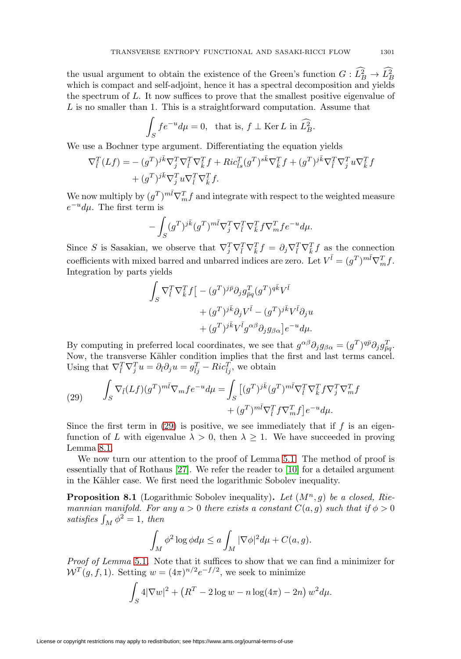the usual argument to obtain the existence of the Green's function  $G: L_B^2 \to L_B^2$ which is compact and self-adjoint, hence it has a spectral decomposition and yields the spectrum of L. It now suffices to prove that the smallest positive eigenvalue of  $L$  is no smaller than 1. This is a straightforward computation. Assume that

$$
\int_{S} f e^{-u} d\mu = 0, \text{ that is, } f \perp \text{Ker } L \text{ in } \widehat{L}_{B}^{2}.
$$

We use a Bochner type argument. Differentiating the equation yields

$$
\nabla_{\bar{l}}^T (Lf) = - (g^T)^{j\bar{k}} \nabla_{\bar{j}}^T \nabla_{\bar{l}}^T \nabla_{\bar{k}}^T f + Ric_{\bar{l}s}^T (g^T)^{s\bar{k}} \nabla_{\bar{k}}^T f + (g^T)^{j\bar{k}} \nabla_{\bar{l}}^T \nabla_{\bar{j}}^T u \nabla_{\bar{k}}^T f
$$
  
+ 
$$
(g^T)^{j\bar{k}} \nabla_{\bar{j}}^T u \nabla_{\bar{k}}^T f.
$$

We now multiply by  $(g^T)^{m\bar{l}} \nabla_m^T f$  and integrate with respect to the weighted measure  $e^{-u}d\mu$ . The first term is

$$
-\int_{S} (g^T)^{j\bar{k}} (g^T)^{m\bar{l}} \nabla_j^T \nabla_{\bar{l}}^T \nabla_{\bar{k}}^T f \nabla_m^T f e^{-u} d\mu.
$$

Since S is Sasakian, we observe that  $\nabla_j^T \nabla_{\bar{k}}^T \nabla_{\bar{k}}^T f = \partial_j \nabla_{\bar{k}}^T \nabla_{\bar{k}}^T f$  as the connection coefficients with mixed barred and unbarred indices are zero. Let  $V^{\bar{l}} = (g^T)^{m\bar{l}} \nabla_m^T f$ . Integration by parts yields

$$
\begin{aligned} \int_S \nabla_{\bar{l}}^T \nabla_{\bar{k}}^T f \big[&- (g^T)^{j \bar{p}} \partial_j g_{\bar{p}q}^T (g^T)^{q \bar{k}} V^{\bar{l}} \\&+ (g^T)^{j \bar{k}} \partial_j V^{\bar{l}} - (g^T)^{j \bar{k}} V^{\bar{l}} \partial_j u \\&+ (g^T)^{j \bar{k}} V^{\bar{l}} g^{\alpha \beta} \partial_j g_{\beta \alpha} \big] e^{-u} d \mu. \end{aligned}
$$

By computing in preferred local coordinates, we see that  $g^{\alpha\beta}\partial_j g_{\beta\alpha} = (g^T)^{q\bar{p}}\partial_j g_{\bar{p}q}^T$ . Now, the transverse Kähler condition implies that the first and last terms cancel. Using that  $\nabla_{\bar{l}}^T \nabla_{\bar{j}}^T u = \partial_{\bar{l}} \partial_j u = g_{\bar{l}j}^T - Ric_{\bar{l}j}^T$ , we obtain

<span id="page-24-0"></span>(29) 
$$
\int_{S} \nabla_{\bar{l}}(Lf)(g^{T})^{m\bar{l}}\nabla_{m}fe^{-u}d\mu = \int_{S} \left[ (g^{T})^{j\bar{k}}(g^{T})^{m\bar{l}}\nabla_{\bar{l}}^{T}\nabla_{\bar{k}}^{T}f\nabla_{\bar{j}}^{T}\nabla_{m}^{T}f + (g^{T})^{m\bar{l}}\nabla_{\bar{l}}^{T}f\nabla_{m}^{T}f \right]e^{-u}d\mu.
$$

Since the first term in  $(29)$  is positive, we see immediately that if f is an eigenfunction of L with eigenvalue  $\lambda > 0$ , then  $\lambda \geq 1$ . We have succeeded in proving Lemma [8.1.](#page-22-1)

We now turn our attention to the proof of Lemma [5.1.](#page-17-0) The method of proof is essentially that of Rothaus [\[27\]](#page-26-18). We refer the reader to [\[10\]](#page-25-14) for a detailed argument in the Kähler case. We first need the logarithmic Sobolev inequality.

**Proposition 8.1** (Logarithmic Sobolev inequality). Let  $(M^n, g)$  be a closed, Riemannian manifold. For any  $a > 0$  there exists a constant  $C(a, g)$  such that if  $\phi > 0$ satisfies  $\int_M \phi^2 = 1$ , then

$$
\int_M \phi^2 \log \phi d\mu \le a \int_M |\nabla \phi|^2 d\mu + C(a, g).
$$

Proof of Lemma [5.1](#page-17-0). Note that it suffices to show that we can find a minimizer for  $W^T(g, f, 1)$ . Setting  $w = (4\pi)^{n/2}e^{-f/2}$ , we seek to minimize

$$
\int_{S} 4|\nabla w|^{2} + (R^{T} - 2\log w - n\log(4\pi) - 2n) w^{2} d\mu.
$$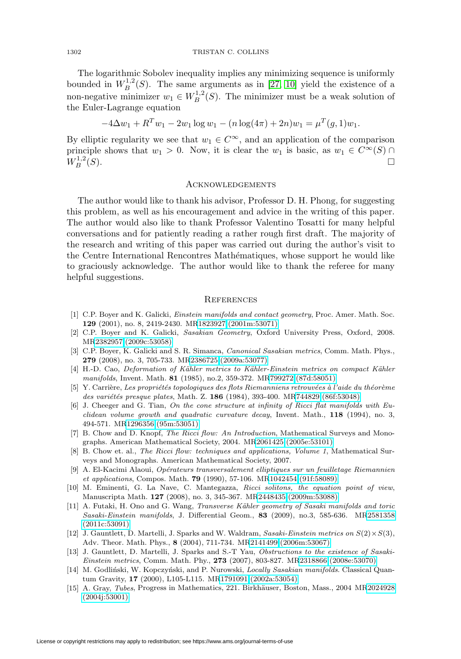The logarithmic Sobolev inequality implies any minimizing sequence is uniformly bounded in  $W^{1,2}_B(S)$ . The same arguments as in [\[27,](#page-26-18) [10\]](#page-25-14) yield the existence of a non-negative minimizer  $w_1 \in W_B^{1,2}(S)$ . The minimizer must be a weak solution of the Euler-Lagrange equation

$$
-4\Delta w_1 + R^T w_1 - 2w_1 \log w_1 - (n \log(4\pi) + 2n) w_1 = \mu^T(g, 1) w_1.
$$

By elliptic regularity we see that  $w_1 \in C^{\infty}$ , and an application of the comparison principle shows that  $w_1 > 0$ . Now, it is clear the  $w_1$  is basic, as  $w_1 \in C^{\infty}(S) \cap$  $W^{1,2}_B(S).$  $\Box$ <sub>B</sub><sup>-1,2</sup>(S).

#### **ACKNOWLEDGEMENTS**

The author would like to thank his advisor, Professor D. H. Phong, for suggesting this problem, as well as his encouragement and advice in the writing of this paper. The author would also like to thank Professor Valentino Tosatti for many helpful conversations and for patiently reading a rather rough first draft. The majority of the research and writing of this paper was carried out during the author's visit to the Centre International Rencontres Mathématiques, whose support he would like to graciously acknowledge. The author would like to thank the referee for many helpful suggestions.

#### **REFERENCES**

- <span id="page-25-10"></span>[1] C.P. Boyer and K. Galicki, *Einstein manifolds and contact geometry*, Proc. Amer. Math. Soc. **129** (2001), no. 8, 2419-2430. M[R1823927 \(2001m:53071\)](http://www.ams.org/mathscinet-getitem?mr=1823927)
- <span id="page-25-8"></span>[2] C.P. Boyer and K. Galicki, Sasakian Geometry, Oxford University Press, Oxford, 2008. M[R2382957 \(2009c:53058\)](http://www.ams.org/mathscinet-getitem?mr=2382957)
- <span id="page-25-2"></span>[3] C.P. Boyer, K. Galicki and S. R. Simanca, *Canonical Sasakian metrics*, Comm. Math. Phys., **279** (2008), no. 3, 705-733. M[R2386725 \(2009a:53077\)](http://www.ams.org/mathscinet-getitem?mr=2386725)
- <span id="page-25-5"></span>[4] H.-D. Cao, Deformation of Kähler metrics to Kähler-Einstein metrics on compact Kähler manifolds, Invent. Math. **81** (1985), no.2, 359-372. M[R799272 \(87d:58051\)](http://www.ams.org/mathscinet-getitem?mr=799272)
- <span id="page-25-9"></span>[5] Y. Carrière, Les propriétés topologiques des flots Riemanniens retrouvées à l'aide du théorème des variétés presque plates, Math. Z. 186 (1984), 393-400. M[R744829 \(86f:53048\)](http://www.ams.org/mathscinet-getitem?mr=744829)
- <span id="page-25-0"></span>[6] J. Cheeger and G. Tian, On the cone structure at infinity of Ricci flat manifolds with Euclidean volume growth and quadratic curvature decay, Invent. Math., **118** (1994), no. 3, 494-571. M[R1296356 \(95m:53051\)](http://www.ams.org/mathscinet-getitem?mr=1296356)
- <span id="page-25-13"></span>[7] B. Chow and D. Knopf, The Ricci flow: An Introduction, Mathematical Surveys and Monographs. American Mathematical Society, 2004. M[R2061425 \(2005e:53101\)](http://www.ams.org/mathscinet-getitem?mr=2061425)
- <span id="page-25-6"></span>[8] B. Chow et. al., The Ricci flow: techniques and applications, Volume 1, Mathematical Surveys and Monographs. American Mathematical Society, 2007.
- <span id="page-25-12"></span>[9] A. El-Kacimi Alaoui, Op´erateurs transversalement elliptiques sur un feuilletage Riemannien et applications, Compos. Math. **79** (1990), 57-106. M[R1042454 \(91f:58089\)](http://www.ams.org/mathscinet-getitem?mr=1042454)
- <span id="page-25-14"></span>[10] M. Eminenti, G. La Nave, C. Mantegazza, Ricci solitons, the equation point of view, Manuscripta Math. **127** (2008), no. 3, 345-367. M[R2448435 \(2009m:53088\)](http://www.ams.org/mathscinet-getitem?mr=2448435)
- <span id="page-25-3"></span>[11] A. Futaki, H. Ono and G. Wang, Transverse Kähler geometry of Sasaki manifolds and toric Sasaki-Einstein manifolds, J. Differential Geom., **83** (2009), no.3, 585-636. M[R2581358](http://www.ams.org/mathscinet-getitem?mr=2581358) [\(2011c:53091\)](http://www.ams.org/mathscinet-getitem?mr=2581358)
- <span id="page-25-1"></span>[12] J. Gauntlett, D. Martelli, J. Sparks and W. Waldram, Sasaki-Einstein metrics on  $S(2) \times S(3)$ , Adv. Theor. Math. Phys., **8** (2004), 711-734. M[R2141499 \(2006m:53067\)](http://www.ams.org/mathscinet-getitem?mr=2141499)
- <span id="page-25-4"></span>[13] J. Gauntlett, D. Martelli, J. Sparks and S.-T Yau, Obstructions to the existence of Sasaki-Einstein metrics, Comm. Math. Phy., **273** (2007), 803-827. M[R2318866 \(2008e:53070\)](http://www.ams.org/mathscinet-getitem?mr=2318866)
- <span id="page-25-7"></span>[14] M. Godliński, W. Kopczyński, and P. Nurowski, Locally Sasakian manifolds. Classical Quantum Gravity, **17** (2000), L105-L115. M[R1791091 \(2002a:53054\)](http://www.ams.org/mathscinet-getitem?mr=1791091)
- <span id="page-25-11"></span>[15] A. Gray, Tubes, Progress in Mathematics, 221. Birkhäuser, Boston, Mass., 2004 M[R2024928](http://www.ams.org/mathscinet-getitem?mr=2024928) [\(2004j:53001\)](http://www.ams.org/mathscinet-getitem?mr=2024928)